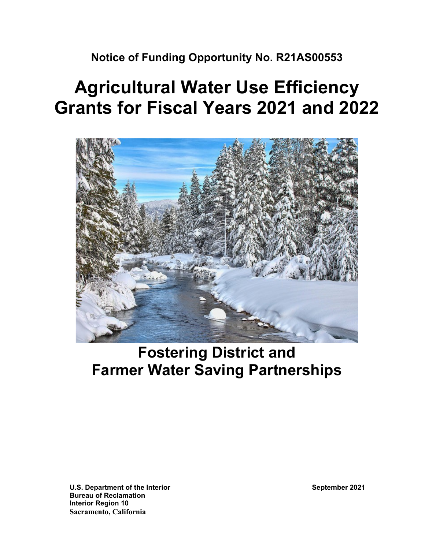**Notice of Funding Opportunity No. R21AS00553**

# **Agricultural Water Use Efficiency Grants for Fiscal Years 2021 and 2022**



# **Fostering District and Farmer Water Saving Partnerships**

**U.S. Department of the Interior September 2021 Bureau of Reclamation Interior Region 10 Sacramento, California**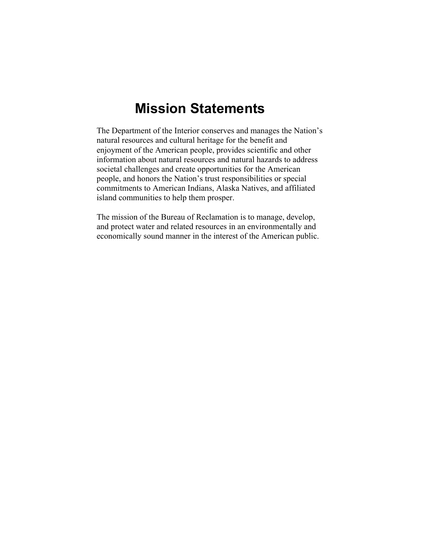# **Mission Statements**

The Department of the Interior conserves and manages the Nation's natural resources and cultural heritage for the benefit and enjoyment of the American people, provides scientific and other information about natural resources and natural hazards to address societal challenges and create opportunities for the American people, and honors the Nation's trust responsibilities or special commitments to American Indians, Alaska Natives, and affiliated island communities to help them prosper.

The mission of the Bureau of Reclamation is to manage, develop, and protect water and related resources in an environmentally and economically sound manner in the interest of the American public.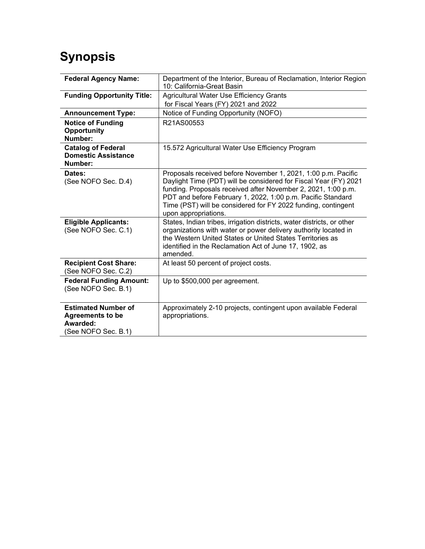# **Synopsis**

| <b>Federal Agency Name:</b>                                                              | Department of the Interior, Bureau of Reclamation, Interior Region<br>10: California-Great Basin                                                                                                                                                                                                                                                           |  |  |
|------------------------------------------------------------------------------------------|------------------------------------------------------------------------------------------------------------------------------------------------------------------------------------------------------------------------------------------------------------------------------------------------------------------------------------------------------------|--|--|
| <b>Funding Opportunity Title:</b>                                                        | Agricultural Water Use Efficiency Grants                                                                                                                                                                                                                                                                                                                   |  |  |
|                                                                                          | for Fiscal Years (FY) 2021 and 2022                                                                                                                                                                                                                                                                                                                        |  |  |
| <b>Announcement Type:</b>                                                                | Notice of Funding Opportunity (NOFO)                                                                                                                                                                                                                                                                                                                       |  |  |
| <b>Notice of Funding</b><br>Opportunity<br>Number:                                       | R21AS00553                                                                                                                                                                                                                                                                                                                                                 |  |  |
| <b>Catalog of Federal</b><br><b>Domestic Assistance</b><br>Number:                       | 15.572 Agricultural Water Use Efficiency Program                                                                                                                                                                                                                                                                                                           |  |  |
| Dates:<br>(See NOFO Sec. D.4)                                                            | Proposals received before November 1, 2021, 1:00 p.m. Pacific<br>Daylight Time (PDT) will be considered for Fiscal Year (FY) 2021<br>funding. Proposals received after November 2, 2021, 1:00 p.m.<br>PDT and before February 1, 2022, 1:00 p.m. Pacific Standard<br>Time (PST) will be considered for FY 2022 funding, contingent<br>upon appropriations. |  |  |
| <b>Eligible Applicants:</b><br>(See NOFO Sec. C.1)                                       | States, Indian tribes, irrigation districts, water districts, or other<br>organizations with water or power delivery authority located in<br>the Western United States or United States Territories as<br>identified in the Reclamation Act of June 17, 1902, as<br>amended.                                                                               |  |  |
| <b>Recipient Cost Share:</b><br>(See NOFO Sec. C.2)                                      | At least 50 percent of project costs.                                                                                                                                                                                                                                                                                                                      |  |  |
| <b>Federal Funding Amount:</b><br>(See NOFO Sec. B.1)                                    | Up to \$500,000 per agreement.                                                                                                                                                                                                                                                                                                                             |  |  |
| <b>Estimated Number of</b><br><b>Agreements to be</b><br>Awarded:<br>(See NOFO Sec. B.1) | Approximately 2-10 projects, contingent upon available Federal<br>appropriations.                                                                                                                                                                                                                                                                          |  |  |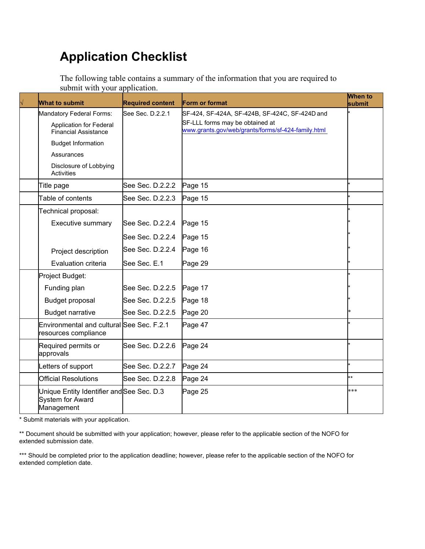# **Application Checklist**

The following table contains a summary of the information that you are required to submit with your application.

| <b>What to submit</b>                                                                     | <b>Required content</b> | Form or format                                                                                                                          | <b>When to</b><br>submit |
|-------------------------------------------------------------------------------------------|-------------------------|-----------------------------------------------------------------------------------------------------------------------------------------|--------------------------|
| Mandatory Federal Forms:<br><b>Application for Federal</b><br><b>Financial Assistance</b> | See Sec. D.2.2.1        | SF-424, SF-424A, SF-424B, SF-424C, SF-424D and<br>SF-LLL forms may be obtained at<br>www.grants.gov/web/grants/forms/sf-424-family.html |                          |
| <b>Budget Information</b>                                                                 |                         |                                                                                                                                         |                          |
| Assurances                                                                                |                         |                                                                                                                                         |                          |
| Disclosure of Lobbying<br>Activities                                                      |                         |                                                                                                                                         |                          |
| Title page                                                                                | See Sec. D.2.2.2        | Page 15                                                                                                                                 |                          |
| Table of contents                                                                         | See Sec. D.2.2.3        | Page 15                                                                                                                                 |                          |
| Technical proposal:                                                                       |                         |                                                                                                                                         |                          |
| Executive summary                                                                         | See Sec. D.2.2.4        | Page 15                                                                                                                                 |                          |
|                                                                                           | See Sec. D.2.2.4        | Page 15                                                                                                                                 |                          |
| Project description                                                                       | See Sec. D.2.2.4        | Page 16                                                                                                                                 |                          |
| Evaluation criteria                                                                       | See Sec. E.1            | Page 29                                                                                                                                 |                          |
| Project Budget:                                                                           |                         |                                                                                                                                         |                          |
| Funding plan                                                                              | See Sec. D.2.2.5        | Page 17                                                                                                                                 |                          |
| Budget proposal                                                                           | See Sec. D.2.2.5        | Page 18                                                                                                                                 |                          |
| <b>Budget narrative</b>                                                                   | See Sec. D.2.2.5        | Page 20                                                                                                                                 |                          |
| Environmental and cultural See Sec. F.2.1<br>resources compliance                         |                         | Page 47                                                                                                                                 |                          |
| Required permits or<br>approvals                                                          | See Sec. D.2.2.6        | Page 24                                                                                                                                 |                          |
| Letters of support                                                                        | See Sec. D.2.2.7        | Page 24                                                                                                                                 |                          |
| <b>Official Resolutions</b>                                                               | See Sec. D.2.2.8        | Page 24                                                                                                                                 | **                       |
| Unique Entity Identifier and See Sec. D.3<br><b>System for Award</b><br>Management        |                         | Page 25                                                                                                                                 | ***                      |

\* Submit materials with your application.

\*\* Document should be submitted with your application; however, please refer to the applicable section of the NOFO for extended submission date.

\*\*\* Should be completed prior to the application deadline; however, please refer to the applicable section of the NOFO for extended completion date.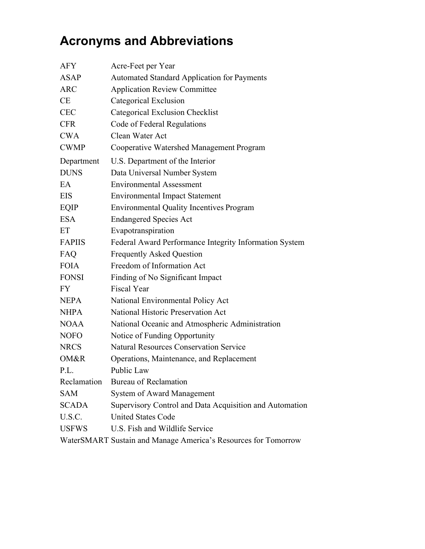# **Acronyms and Abbreviations**

| <b>AFY</b>    | Acre-Feet per Year                                             |
|---------------|----------------------------------------------------------------|
| ASAP          | <b>Automated Standard Application for Payments</b>             |
| <b>ARC</b>    | <b>Application Review Committee</b>                            |
| <b>CE</b>     | Categorical Exclusion                                          |
| <b>CEC</b>    | Categorical Exclusion Checklist                                |
| <b>CFR</b>    | Code of Federal Regulations                                    |
| <b>CWA</b>    | Clean Water Act                                                |
| <b>CWMP</b>   | Cooperative Watershed Management Program                       |
| Department    | U.S. Department of the Interior                                |
| <b>DUNS</b>   | Data Universal Number System                                   |
| EA            | <b>Environmental Assessment</b>                                |
| <b>EIS</b>    | <b>Environmental Impact Statement</b>                          |
| EQIP          | <b>Environmental Quality Incentives Program</b>                |
| <b>ESA</b>    | <b>Endangered Species Act</b>                                  |
| ET            | Evapotranspiration                                             |
| <b>FAPIIS</b> | Federal Award Performance Integrity Information System         |
| FAQ           | <b>Frequently Asked Question</b>                               |
| <b>FOIA</b>   | Freedom of Information Act                                     |
| <b>FONSI</b>  | Finding of No Significant Impact                               |
| <b>FY</b>     | <b>Fiscal Year</b>                                             |
| <b>NEPA</b>   | National Environmental Policy Act                              |
| <b>NHPA</b>   | National Historic Preservation Act                             |
| <b>NOAA</b>   | National Oceanic and Atmospheric Administration                |
| <b>NOFO</b>   | Notice of Funding Opportunity                                  |
| <b>NRCS</b>   | <b>Natural Resources Conservation Service</b>                  |
| OM&R          | Operations, Maintenance, and Replacement                       |
| P.L.          | Public Law                                                     |
| Reclamation   | Bureau of Reclamation                                          |
| <b>SAM</b>    | System of Award Management                                     |
| <b>SCADA</b>  | Supervisory Control and Data Acquisition and Automation        |
| U.S.C.        | <b>United States Code</b>                                      |
| <b>USFWS</b>  | U.S. Fish and Wildlife Service                                 |
|               | WaterSMART Sustain and Manage America's Resources for Tomorrow |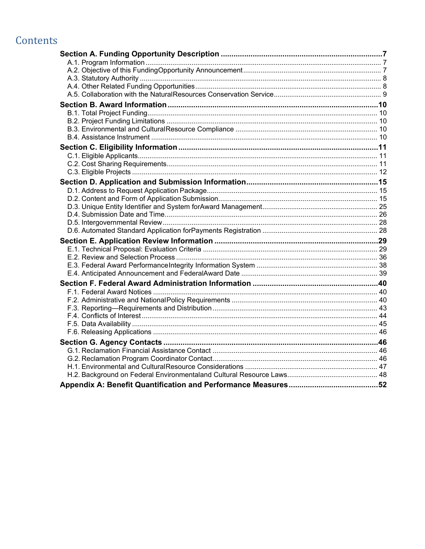# Contents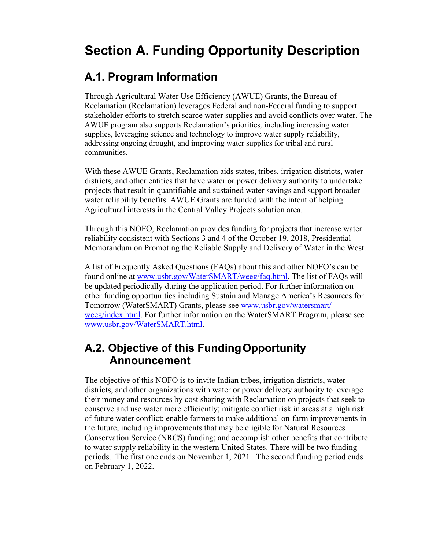# <span id="page-6-0"></span>**Section A. Funding Opportunity Description**

## <span id="page-6-1"></span>**A.1. Program Information**

Through Agricultural Water Use Efficiency (AWUE) Grants, the Bureau of Reclamation (Reclamation) leverages Federal and non-Federal funding to support stakeholder efforts to stretch scarce water supplies and avoid conflicts over water. The AWUE program also supports Reclamation's priorities, including increasing water supplies, leveraging science and technology to improve water supply reliability, addressing ongoing drought, and improving water supplies for tribal and rural communities.

With these AWUE Grants, Reclamation aids states, tribes, irrigation districts, water districts, and other entities that have water or power delivery authority to undertake projects that result in quantifiable and sustained water savings and support broader water reliability benefits. AWUE Grants are funded with the intent of helping Agricultural interests in the Central Valley Projects solution area.

Through this NOFO, Reclamation provides funding for projects that increase water reliability consistent with Sections 3 and 4 of the October 19, 2018, Presidential Memorandum on Promoting the Reliable Supply and Delivery of Water in the West.

A list of Frequently Asked Questions (FAQs) about this and other NOFO's can be found online at [www.usbr.gov/WaterSMART/weeg/faq.html.](https://www.usbr.gov/watersmart/weeg/faq.html) The list of FAQs will be updated periodically during the application period. For further information on other funding opportunities including Sustain and Manage America's Resources for Tomorrow (WaterSMART) Grants, please see [www.usbr.gov/watersmart/](https://www.usbr.gov/watersmart/weeg/index.html) [weeg/index.html.](https://www.usbr.gov/watersmart/weeg/index.html) For further information on the WaterSMART Program, please see [www.usbr.gov/WaterSMART.html.](https://www.usbr.gov/watersmart/)

## <span id="page-6-2"></span>**A.2. Objective of this FundingOpportunity Announcement**

The objective of this NOFO is to invite Indian tribes, irrigation districts, water districts, and other organizations with water or power delivery authority to leverage their money and resources by cost sharing with Reclamation on projects that seek to conserve and use water more efficiently; mitigate conflict risk in areas at a high risk of future water conflict; enable farmers to make additional on-farm improvements in the future, including improvements that may be eligible for Natural Resources Conservation Service (NRCS) funding; and accomplish other benefits that contribute to water supply reliability in the western United States. There will be two funding periods. The first one ends on November 1, 2021. The second funding period ends on February 1, 2022.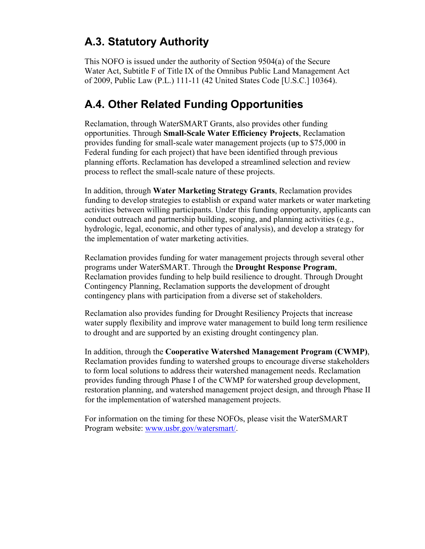# <span id="page-7-0"></span>**A.3. Statutory Authority**

This NOFO is issued under the authority of Section 9504(a) of the Secure Water Act, Subtitle F of Title IX of the Omnibus Public Land Management Act of 2009, Public Law (P.L.) 111-11 (42 United States Code [U.S.C.] 10364).

# <span id="page-7-1"></span>**A.4. Other Related Funding Opportunities**

Reclamation, through WaterSMART Grants, also provides other funding opportunities. Through **Small-Scale Water Efficiency Projects**, Reclamation provides funding for small-scale water management projects (up to \$75,000 in Federal funding for each project) that have been identified through previous planning efforts. Reclamation has developed a streamlined selection and review process to reflect the small-scale nature of these projects.

In addition, through **Water Marketing Strategy Grants**, Reclamation provides funding to develop strategies to establish or expand water markets or water marketing activities between willing participants. Under this funding opportunity, applicants can conduct outreach and partnership building, scoping, and planning activities (e.g., hydrologic, legal, economic, and other types of analysis), and develop a strategy for the implementation of water marketing activities.

Reclamation provides funding for water management projects through several other programs under WaterSMART. Through the **Drought Response Program**, Reclamation provides funding to help build resilience to drought. Through Drought Contingency Planning, Reclamation supports the development of drought contingency plans with participation from a diverse set of stakeholders.

Reclamation also provides funding for Drought Resiliency Projects that increase water supply flexibility and improve water management to build long term resilience to drought and are supported by an existing drought contingency plan.

In addition, through the **Cooperative Watershed Management Program (CWMP)**, Reclamation provides funding to watershed groups to encourage diverse stakeholders to form local solutions to address their watershed management needs. Reclamation provides funding through Phase I of the CWMP for watershed group development, restoration planning, and watershed management project design, and through Phase II for the implementation of watershed management projects.

For information on the timing for these NOFOs, please visit the WaterSMART Program website: [www.usbr.gov/watersmart/.](https://www.usbr.gov/watersmart/index.html)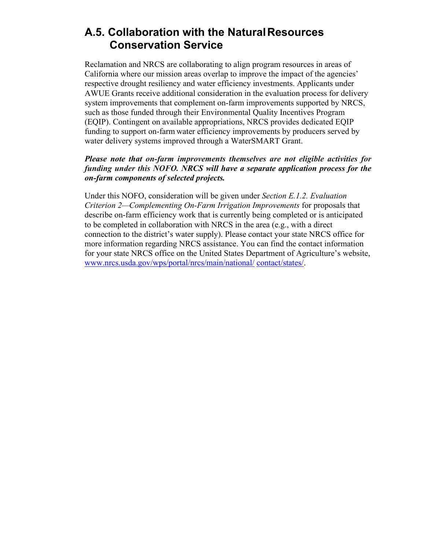## <span id="page-8-0"></span>**A.5. Collaboration with the NaturalResources Conservation Service**

Reclamation and NRCS are collaborating to align program resources in areas of California where our mission areas overlap to improve the impact of the agencies' respective drought resiliency and water efficiency investments. Applicants under AWUE Grants receive additional consideration in the evaluation process for delivery system improvements that complement on-farm improvements supported by NRCS, such as those funded through their Environmental Quality Incentives Program (EQIP). Contingent on available appropriations, NRCS provides dedicated EQIP funding to support on-farm water efficiency improvements by producers served by water delivery systems improved through a WaterSMART Grant.

#### *Please note that on-farm improvements themselves are not eligible activities for funding under this NOFO. NRCS will have a separate application process for the on-farm components of selected projects.*

Under this NOFO, consideration will be given under *Section E.1.2. Evaluation Criterion 2—Complementing On-Farm Irrigation Improvements* for proposals that describe on-farm efficiency work that is currently being completed or is anticipated to be completed in collaboration with NRCS in the area (e.g., with a direct connection to the district's water supply). Please contact your state NRCS office for more information regarding NRCS assistance. You can find the contact information for your state NRCS office on the United States Department of Agriculture's website, [www.nrcs.usda.gov/wps/portal/nrcs/main/national/](https://www.nrcs.usda.gov/wps/portal/nrcs/main/national/contact/states/) [contact/states/.](https://www.nrcs.usda.gov/wps/portal/nrcs/main/national/contact/states/)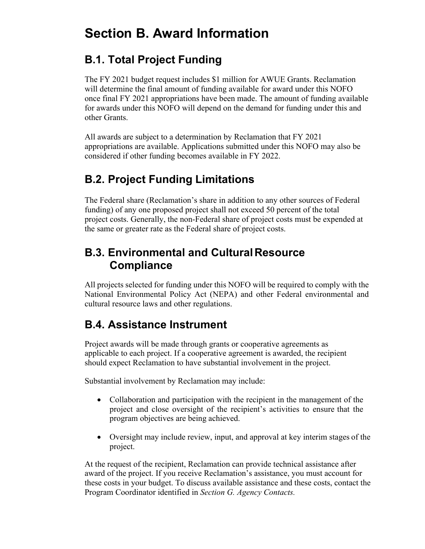# <span id="page-9-0"></span>**Section B. Award Information**

# <span id="page-9-1"></span>**B.1. Total Project Funding**

The FY 2021 budget request includes \$1 million for AWUE Grants. Reclamation will determine the final amount of funding available for award under this NOFO once final FY 2021 appropriations have been made. The amount of funding available for awards under this NOFO will depend on the demand for funding under this and other Grants.

All awards are subject to a determination by Reclamation that FY 2021 appropriations are available. Applications submitted under this NOFO may also be considered if other funding becomes available in FY 2022.

# <span id="page-9-2"></span>**B.2. Project Funding Limitations**

The Federal share (Reclamation's share in addition to any other sources of Federal funding) of any one proposed project shall not exceed 50 percent of the total project costs. Generally, the non-Federal share of project costs must be expended at the same or greater rate as the Federal share of project costs.

# <span id="page-9-3"></span>**B.3. Environmental and CulturalResource Compliance**

All projects selected for funding under this NOFO will be required to comply with the National Environmental Policy Act (NEPA) and other Federal environmental and cultural resource laws and other regulations.

# <span id="page-9-4"></span>**B.4. Assistance Instrument**

Project awards will be made through grants or cooperative agreements as applicable to each project. If a cooperative agreement is awarded, the recipient should expect Reclamation to have substantial involvement in the project.

Substantial involvement by Reclamation may include:

- Collaboration and participation with the recipient in the management of the project and close oversight of the recipient's activities to ensure that the program objectives are being achieved.
- Oversight may include review, input, and approval at key interim stages of the project.

At the request of the recipient, Reclamation can provide technical assistance after award of the project. If you receive Reclamation's assistance, you must account for these costs in your budget. To discuss available assistance and these costs, contact the Program Coordinator identified in *Section G. Agency Contacts.*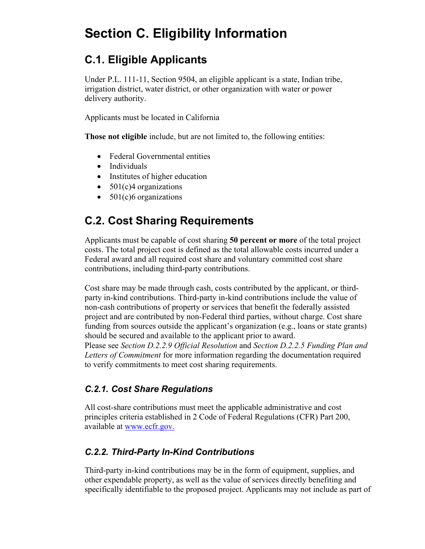# <span id="page-10-0"></span>**Section C. Eligibility Information**

# <span id="page-10-1"></span>**C.1. Eligible Applicants**

Under P.L. 111-11, Section 9504, an eligible applicant is a state, Indian tribe, irrigation district, water district, or other organization with water or power delivery authority.

Applicants must be located in California

**Those not eligible** include, but are not limited to, the following entities:

- Federal Governmental entities
- Individuals
- Institutes of higher education
- $501(c)4$  organizations
- $501(c)6$  organizations

# <span id="page-10-2"></span>**C.2. Cost Sharing Requirements**

Applicants must be capable of cost sharing **50 percent or more** of the total project costs. The total project cost is defined as the total allowable costs incurred under a Federal award and all required cost share and voluntary committed cost share contributions, including third-party contributions.

Cost share may be made through cash, costs contributed by the applicant, or thirdparty in-kind contributions. Third-party in-kind contributions include the value of non-cash contributions of property or services that benefit the federally assisted project and are contributed by non-Federal third parties, without charge. Cost share funding from sources outside the applicant's organization (e.g., loans or state grants) should be secured and available to the applicant prior to award. Please see *Section D.2.2.9 Official Resolution* and *Section D.2.2.5 Funding Plan and Letters of Commitment* for more information regarding the documentation required to verify commitments to meet cost sharing requirements.

### *C.2.1. Cost Share Regulations*

All cost-share contributions must meet the applicable administrative and cost principles criteria established in 2 Code of Federal Regulations (CFR) Part 200, available at [www.ecfr.gov.](https://www.ecfr.gov/cgi-bin/text-idx?tpl=/ecfrbrowse/Title02/2cfr200_main_02.tpl)

### *C.2.2. Third-Party In-Kind Contributions*

Third-party in-kind contributions may be in the form of equipment, supplies, and other expendable property, as well as the value of services directly benefiting and specifically identifiable to the proposed project. Applicants may not include as part of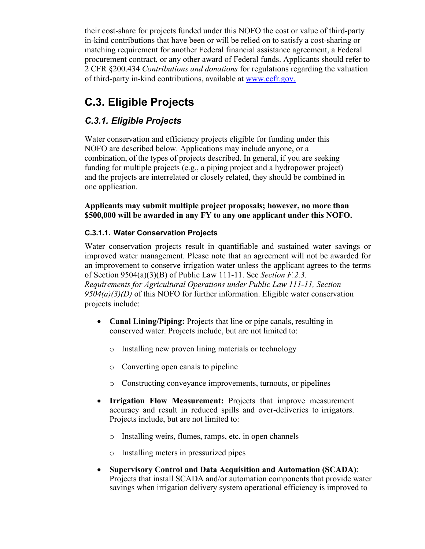their cost-share for projects funded under this NOFO the cost or value of third-party in-kind contributions that have been or will be relied on to satisfy a cost-sharing or matching requirement for another Federal financial assistance agreement, a Federal procurement contract, or any other award of Federal funds. Applicants should refer to 2 CFR §200.434 *Contributions and donations* for regulations regarding the valuation of third-party in-kind contributions, available at [www.ecfr.gov.](https://www.ecfr.gov/cgi-bin/text-idx?tpl=/ecfrbrowse/Title02/2cfr200_main_02.tpl)

# <span id="page-11-0"></span>**C.3. Eligible Projects**

### *C.3.1. Eligible Projects*

Water conservation and efficiency projects eligible for funding under this NOFO are described below. Applications may include anyone, or a combination, of the types of projects described. In general, if you are seeking funding for multiple projects (e.g., a piping project and a hydropower project) and the projects are interrelated or closely related, they should be combined in one application.

**Applicants may submit multiple project proposals; however, no more than \$500,000 will be awarded in any FY to any one applicant under this NOFO.**

#### **C.3.1.1. Water Conservation Projects**

Water conservation projects result in quantifiable and sustained water savings or improved water management. Please note that an agreement will not be awarded for an improvement to conserve irrigation water unless the applicant agrees to the terms of Section 9504(a)(3)(B) of Public Law 111-11. See *Section F.2.3. Requirements for Agricultural Operations under Public Law 111-11, Section 9504(a)(3)(D)* of this NOFO for further information. Eligible water conservation projects include:

- **Canal Lining/Piping:** Projects that line or pipe canals, resulting in conserved water. Projects include, but are not limited to:
	- o Installing new proven lining materials or technology
	- o Converting open canals to pipeline
	- o Constructing conveyance improvements, turnouts, or pipelines
- **Irrigation Flow Measurement:** Projects that improve measurement accuracy and result in reduced spills and over-deliveries to irrigators. Projects include, but are not limited to:
	- o Installing weirs, flumes, ramps, etc. in open channels
	- o Installing meters in pressurized pipes
- **Supervisory Control and Data Acquisition and Automation (SCADA)**: Projects that install SCADA and/or automation components that provide water savings when irrigation delivery system operational efficiency is improved to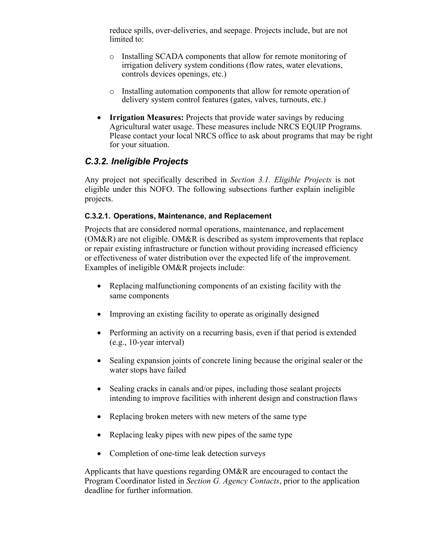reduce spills, over-deliveries, and seepage. Projects include, but are not limited to:

- o Installing SCADA components that allow for remote monitoring of irrigation delivery system conditions (flow rates, water elevations, controls devices openings, etc.)
- o Installing automation components that allow for remote operation of delivery system control features (gates, valves, turnouts, etc.)
- **Irrigation Measures:** Projects that provide water savings by reducing Agricultural water usage. These measures include NRCS EQUIP Programs. Please contact your local NRCS office to ask about programs that may be right for your situation.

### *C.3.2. Ineligible Projects*

Any project not specifically described in *Section 3.1. Eligible Projects* is not eligible under this NOFO. The following subsections further explain ineligible projects.

#### **C.3.2.1. Operations, Maintenance, and Replacement**

Projects that are considered normal operations, maintenance, and replacement (OM&R) are not eligible. OM&R is described as system improvements that replace or repair existing infrastructure or function without providing increased efficiency or effectiveness of water distribution over the expected life of the improvement. Examples of ineligible OM&R projects include:

- Replacing malfunctioning components of an existing facility with the same components
- Improving an existing facility to operate as originally designed
- Performing an activity on a recurring basis, even if that period is extended (e.g., 10-year interval)
- Sealing expansion joints of concrete lining because the original sealer or the water stops have failed
- Sealing cracks in canals and/or pipes, including those sealant projects intending to improve facilities with inherent design and construction flaws
- Replacing broken meters with new meters of the same type
- Replacing leaky pipes with new pipes of the same type
- Completion of one-time leak detection surveys

Applicants that have questions regarding OM&R are encouraged to contact the Program Coordinator listed in *Section G. Agency Contacts*, prior to the application deadline for further information.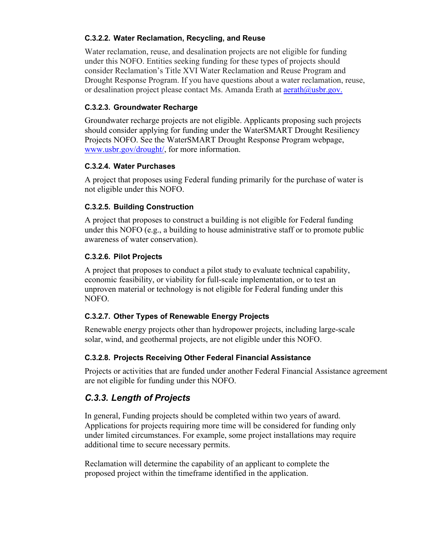#### **C.3.2.2. Water Reclamation, Recycling, and Reuse**

Water reclamation, reuse, and desalination projects are not eligible for funding under this NOFO. Entities seeking funding for these types of projects should consider Reclamation's Title XVI Water Reclamation and Reuse Program and Drought Response Program. If you have questions about a water reclamation, reuse, or desalination project please contact Ms. Amanda Erath at **aerath@usbr.gov.** 

#### **C.3.2.3. Groundwater Recharge**

Groundwater recharge projects are not eligible. Applicants proposing such projects should consider applying for funding under the WaterSMART Drought Resiliency Projects NOFO. See the WaterSMART Drought Response Program webpage, [www.usbr.gov/drought/,](https://www.usbr.gov/drought/) for more information.

#### **C.3.2.4. Water Purchases**

A project that proposes using Federal funding primarily for the purchase of water is not eligible under this NOFO.

#### **C.3.2.5. Building Construction**

A project that proposes to construct a building is not eligible for Federal funding under this NOFO (e.g., a building to house administrative staff or to promote public awareness of water conservation).

#### **C.3.2.6. Pilot Projects**

A project that proposes to conduct a pilot study to evaluate technical capability, economic feasibility, or viability for full-scale implementation, or to test an unproven material or technology is not eligible for Federal funding under this NOFO.

#### **C.3.2.7. Other Types of Renewable Energy Projects**

Renewable energy projects other than hydropower projects, including large-scale solar, wind, and geothermal projects, are not eligible under this NOFO.

#### **C.3.2.8. Projects Receiving Other Federal Financial Assistance**

Projects or activities that are funded under another Federal Financial Assistance agreement are not eligible for funding under this NOFO.

### *C.3.3. Length of Projects*

In general, Funding projects should be completed within two years of award. Applications for projects requiring more time will be considered for funding only under limited circumstances. For example, some project installations may require additional time to secure necessary permits.

Reclamation will determine the capability of an applicant to complete the proposed project within the timeframe identified in the application.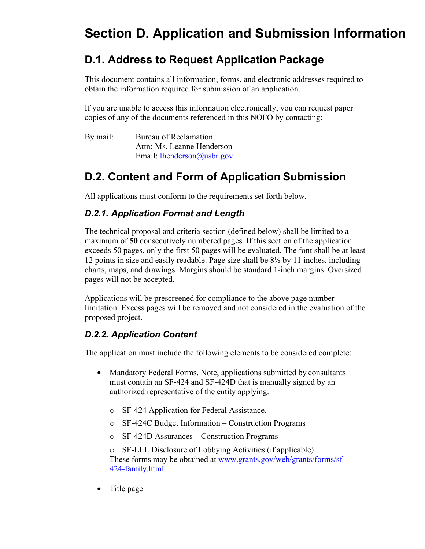# <span id="page-14-0"></span>**Section D. Application and Submission Information**

# <span id="page-14-1"></span>**D.1. Address to Request Application Package**

This document contains all information, forms, and electronic addresses required to obtain the information required for submission of an application.

If you are unable to access this information electronically, you can request paper copies of any of the documents referenced in this NOFO by contacting:

By mail: Bureau of Reclamation Attn: Ms. Leanne Henderson Email: [lhenderson@usbr.gov](mailto:lhenderson@usbr.gov)

# <span id="page-14-2"></span>**D.2. Content and Form of Application Submission**

All applications must conform to the requirements set forth below.

### *D.2.1. Application Format and Length*

The technical proposal and criteria section (defined below) shall be limited to a maximum of **50** consecutively numbered pages. If this section of the application exceeds 50 pages, only the first 50 pages will be evaluated. The font shall be at least 12 points in size and easily readable. Page size shall be 8½ by 11 inches, including charts, maps, and drawings. Margins should be standard 1-inch margins. Oversized pages will not be accepted.

Applications will be prescreened for compliance to the above page number limitation. Excess pages will be removed and not considered in the evaluation of the proposed project.

### *D.2.2. Application Content*

The application must include the following elements to be considered complete:

- Mandatory Federal Forms. Note, applications submitted by consultants must contain an SF-424 and SF-424D that is manually signed by an authorized representative of the entity applying.
	- o SF-424 Application for Federal Assistance.
	- o SF-424C Budget Information Construction Programs
	- o SF-424D Assurances Construction Programs

o SF-LLL Disclosure of Lobbying Activities (if applicable) These forms may be obtained at [www.grants.gov/web/grants/forms/sf-](http://www.grants.gov/web/grants/forms/sf-424-family.html)[424-family.html](http://www.grants.gov/web/grants/forms/sf-424-family.html)

• Title page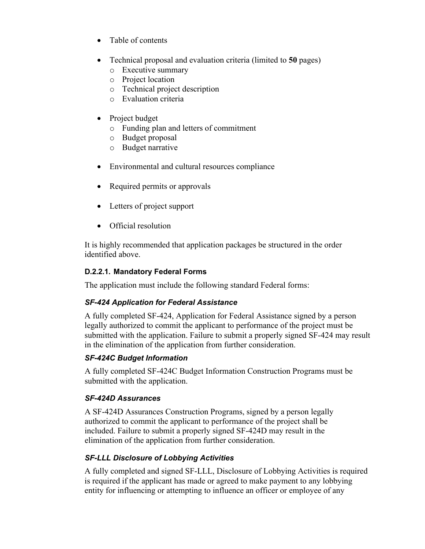- Table of contents
- Technical proposal and evaluation criteria (limited to **50** pages)
	- o Executive summary
	- o Project location
	- o Technical project description
	- o Evaluation criteria
- Project budget
	- o Funding plan and letters of commitment
	- o Budget proposal
	- o Budget narrative
- Environmental and cultural resources compliance
- Required permits or approvals
- Letters of project support
- Official resolution

It is highly recommended that application packages be structured in the order identified above.

#### **D.2.2.1. Mandatory Federal Forms**

The application must include the following standard Federal forms:

#### *SF-424 Application for Federal Assistance*

A fully completed SF-424, Application for Federal Assistance signed by a person legally authorized to commit the applicant to performance of the project must be submitted with the application. Failure to submit a properly signed SF-424 may result in the elimination of the application from further consideration.

#### *SF-424C Budget Information*

A fully completed SF-424C Budget Information Construction Programs must be submitted with the application.

#### *SF-424D Assurances*

A SF-424D Assurances Construction Programs, signed by a person legally authorized to commit the applicant to performance of the project shall be included. Failure to submit a properly signed SF-424D may result in the elimination of the application from further consideration.

#### *SF-LLL Disclosure of Lobbying Activities*

A fully completed and signed SF-LLL, Disclosure of Lobbying Activities is required is required if the applicant has made or agreed to make payment to any lobbying entity for influencing or attempting to influence an officer or employee of any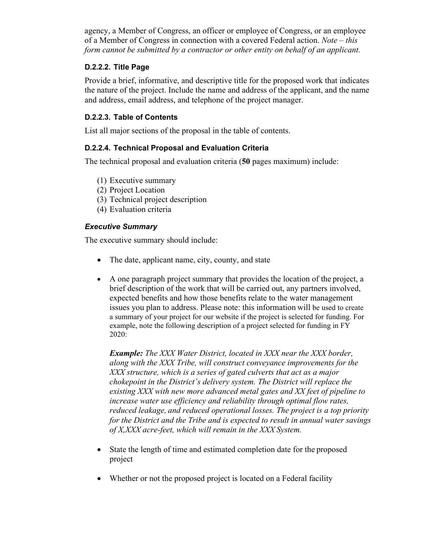agency, a Member of Congress, an officer or employee of Congress, or an employee of a Member of Congress in connection with a covered Federal action. *Note – this form cannot be submitted by a contractor or other entity on behalf of an applicant.*

#### **D.2.2.2. Title Page**

Provide a brief, informative, and descriptive title for the proposed work that indicates the nature of the project. Include the name and address of the applicant, and the name and address, email address, and telephone of the project manager.

#### **D.2.2.3. Table of Contents**

List all major sections of the proposal in the table of contents.

#### **D.2.2.4. Technical Proposal and Evaluation Criteria**

The technical proposal and evaluation criteria (**50** pages maximum) include:

- (1) Executive summary
- (2) Project Location
- (3) Technical project description
- (4) Evaluation criteria

#### *Executive Summary*

The executive summary should include:

- The date, applicant name, city, county, and state
- A one paragraph project summary that provides the location of the project, a brief description of the work that will be carried out, any partners involved, expected benefits and how those benefits relate to the water management issues you plan to address. Please note: this information will be used to create a summary of your project for our website if the project is selected for funding. For example, note the following description of a project selected for funding in FY 2020:

*Example: The XXX Water District, located in XXX near the XXX border, along with the XXX Tribe, will construct conveyance improvements for the XXX structure, which is a series of gated culverts that act as a major chokepoint in the District's delivery system. The District will replace the existing XXX with new more advanced metal gates and XX feet of pipeline to increase water use efficiency and reliability through optimal flow rates, reduced leakage, and reduced operational losses. The project is a top priority for the District and the Tribe and is expected to result in annual water savings of X,XXX acre-feet, which will remain in the XXX System.*

- State the length of time and estimated completion date for the proposed project
- Whether or not the proposed project is located on a Federal facility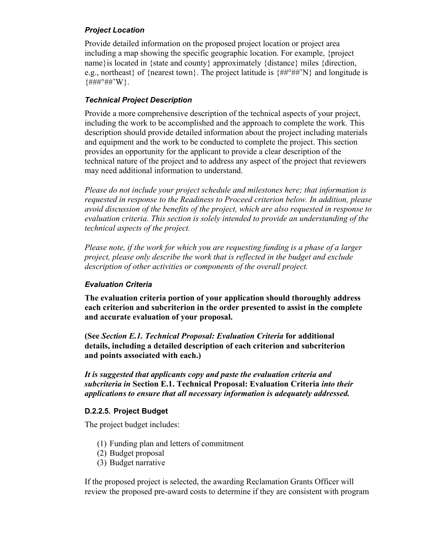#### *Project Location*

Provide detailed information on the proposed project location or project area including a map showing the specific geographic location. For example, {project name}is located in {state and county} approximately {distance} miles {direction, e.g., northeast of {nearest town}. The project latitude is  $\{\# \#^{\circ} \# \#^{\circ} N\}$  and longitude is  ${#H\#^{\circ}\#H'\W}.$ 

#### *Technical Project Description*

Provide a more comprehensive description of the technical aspects of your project, including the work to be accomplished and the approach to complete the work. This description should provide detailed information about the project including materials and equipment and the work to be conducted to complete the project. This section provides an opportunity for the applicant to provide a clear description of the technical nature of the project and to address any aspect of the project that reviewers may need additional information to understand.

*Please do not include your project schedule and milestones here; that information is requested in response to the Readiness to Proceed criterion below. In addition, please avoid discussion of the benefits of the project, which are also requested in response to evaluation criteria. This section is solely intended to provide an understanding of the technical aspects of the project.*

*Please note, if the work for which you are requesting funding is a phase of a larger project, please only describe the work that is reflected in the budget and exclude description of other activities or components of the overall project.*

#### *Evaluation Criteria*

**The evaluation criteria portion of your application should thoroughly address each criterion and subcriterion in the order presented to assist in the complete and accurate evaluation of your proposal.**

**(See** *Section E.1. Technical Proposal: Evaluation Criteria* **for additional details, including a detailed description of each criterion and subcriterion and points associated with each.)**

*It is suggested that applicants copy and paste the evaluation criteria and subcriteria in* **Section E.1. Technical Proposal: Evaluation Criteria** *into their applications to ensure that all necessary information is adequately addressed.*

#### **D.2.2.5. Project Budget**

The project budget includes:

- (1) Funding plan and letters of commitment
- (2) Budget proposal
- (3) Budget narrative

If the proposed project is selected, the awarding Reclamation Grants Officer will review the proposed pre-award costs to determine if they are consistent with program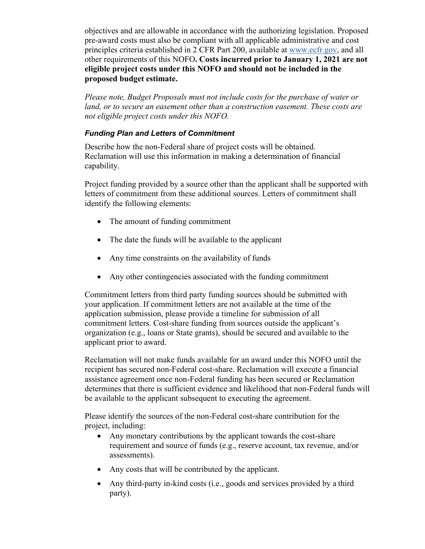objectives and are allowable in accordance with the authorizing legislation. Proposed pre-award costs must also be compliant with all applicable administrative and cost principles criteria established in 2 CFR Part 200, available at [www.ecfr.gov, a](https://www.ecfr.gov/cgi-bin/text-idx?tpl=/ecfrbrowse/Title02/2cfr200_main_02.tpl)nd all other requirements of this NOFO**. Costs incurred prior to January 1, 2021 are not eligible project costs under this NOFO and should not be included in the proposed budget estimate.**

*Please note, Budget Proposals must not include costs for the purchase of water or land, or to secure an easement other than a construction easement. These costs are not eligible project costs under this NOFO.*

#### *Funding Plan and Letters of Commitment*

Describe how the non-Federal share of project costs will be obtained. Reclamation will use this information in making a determination of financial capability.

Project funding provided by a source other than the applicant shall be supported with letters of commitment from these additional sources. Letters of commitment shall identify the following elements:

- The amount of funding commitment
- The date the funds will be available to the applicant
- Any time constraints on the availability of funds
- Any other contingencies associated with the funding commitment

Commitment letters from third party funding sources should be submitted with your application. If commitment letters are not available at the time of the application submission, please provide a timeline for submission of all commitment letters. Cost-share funding from sources outside the applicant's organization (e.g., loans or State grants), should be secured and available to the applicant prior to award.

Reclamation will not make funds available for an award under this NOFO until the recipient has secured non-Federal cost-share. Reclamation will execute a financial assistance agreement once non-Federal funding has been secured or Reclamation determines that there is sufficient evidence and likelihood that non-Federal funds will be available to the applicant subsequent to executing the agreement.

Please identify the sources of the non-Federal cost-share contribution for the project, including:

- Any monetary contributions by the applicant towards the cost-share requirement and source of funds (e.g., reserve account, tax revenue, and/or assessments).
- Any costs that will be contributed by the applicant.
- Any third-party in-kind costs (i.e., goods and services provided by a third party).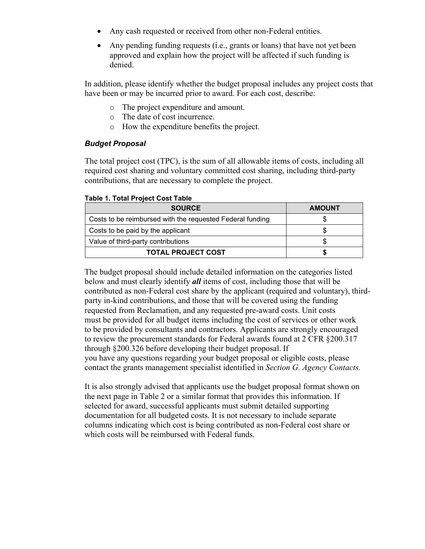- Any cash requested or received from other non-Federal entities.
- Any pending funding requests (i.e., grants or loans) that have not yet been approved and explain how the project will be affected if such funding is denied.

In addition, please identify whether the budget proposal includes any project costs that have been or may be incurred prior to award. For each cost, describe:

- o The project expenditure and amount.
- o The date of cost incurrence.
- o How the expenditure benefits the project.

#### *Budget Proposal*

The total project cost (TPC), is the sum of all allowable items of costs, including all required cost sharing and voluntary committed cost sharing, including third-party contributions, that are necessary to complete the project.

#### **Table 1. Total Project Cost Table**

| <b>SOURCE</b>                                             | <b>AMOUNT</b> |  |
|-----------------------------------------------------------|---------------|--|
| Costs to be reimbursed with the requested Federal funding |               |  |
| Costs to be paid by the applicant                         |               |  |
| Value of third-party contributions                        |               |  |
| <b>TOTAL PROJECT COST</b>                                 |               |  |

The budget proposal should include detailed information on the categories listed below and must clearly identify *all* items of cost, including those that will be contributed as non-Federal cost share by the applicant (required and voluntary), thirdparty in-kind contributions, and those that will be covered using the funding requested from Reclamation, and any requested pre-award costs. Unit costs must be provided for all budget items including the cost of services or other work to be provided by consultants and contractors. Applicants are strongly encouraged to review the procurement standards for Federal awards found at 2 CFR §200.317 through §200.326 before developing their budget proposal. If you have any questions regarding your budget proposal or eligible costs, please contact the grants management specialist identified in *Section G. Agency Contacts.*

It is also strongly advised that applicants use the budget proposal format shown on the next page in Table 2 or a similar format that provides this information. If selected for award, successful applicants must submit detailed supporting documentation for all budgeted costs. It is not necessary to include separate columns indicating which cost is being contributed as non-Federal cost share or which costs will be reimbursed with Federal funds.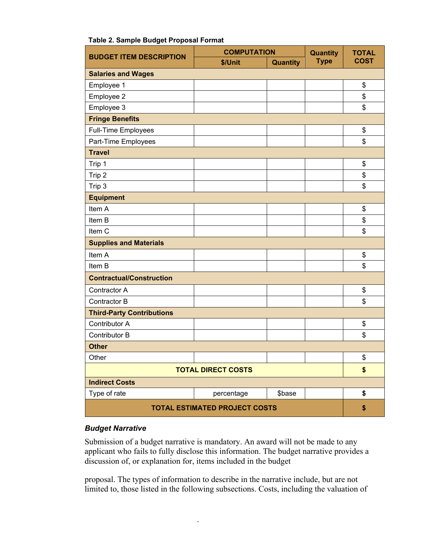| <b>COMPUTATION</b><br><b>BUDGET ITEM DESCRIPTION</b> |                           |                 | <b>Quantity</b> | <b>TOTAL</b> |
|------------------------------------------------------|---------------------------|-----------------|-----------------|--------------|
|                                                      | \$/Unit                   | <b>Quantity</b> | <b>Type</b>     | <b>COST</b>  |
| <b>Salaries and Wages</b>                            |                           |                 |                 |              |
| Employee 1                                           |                           |                 |                 | \$           |
| Employee 2                                           |                           |                 |                 | \$           |
| Employee 3                                           |                           |                 |                 | \$           |
| <b>Fringe Benefits</b>                               |                           |                 |                 |              |
| Full-Time Employees                                  |                           |                 |                 | \$           |
| Part-Time Employees                                  |                           |                 |                 | \$           |
| <b>Travel</b>                                        |                           |                 |                 |              |
| Trip 1                                               |                           |                 |                 | \$           |
| Trip 2                                               |                           |                 |                 | \$           |
| Trip 3                                               |                           |                 |                 | \$           |
| <b>Equipment</b>                                     |                           |                 |                 |              |
| Item A                                               |                           |                 |                 | \$           |
| Item B                                               |                           |                 |                 | \$           |
| Item <sub>C</sub>                                    |                           |                 |                 | \$           |
| <b>Supplies and Materials</b>                        |                           |                 |                 |              |
| Item A                                               |                           |                 |                 | \$           |
| Item B                                               |                           |                 |                 | \$           |
| <b>Contractual/Construction</b>                      |                           |                 |                 |              |
| Contractor A                                         |                           |                 |                 | \$           |
| Contractor B                                         |                           |                 |                 | \$           |
| <b>Third-Party Contributions</b>                     |                           |                 |                 |              |
| Contributor A                                        |                           |                 |                 | \$           |
| <b>Contributor B</b>                                 |                           |                 |                 | \$           |
| <b>Other</b>                                         |                           |                 |                 |              |
| Other                                                |                           |                 |                 | \$           |
|                                                      | <b>TOTAL DIRECT COSTS</b> |                 |                 | \$           |
| <b>Indirect Costs</b>                                |                           |                 |                 |              |
| Type of rate                                         | percentage                | \$base          |                 | \$           |
| <b>TOTAL ESTIMATED PROJECT COSTS</b>                 |                           |                 |                 | \$           |

#### **Table 2. Sample Budget Proposal Format**

#### *Budget Narrative*

Submission of a budget narrative is mandatory. An award will not be made to any applicant who fails to fully disclose this information. The budget narrative provides a discussion of, or explanation for, items included in the budget

proposal. The types of information to describe in the narrative include, but are not limited to, those listed in the following subsections. Costs, including the valuation of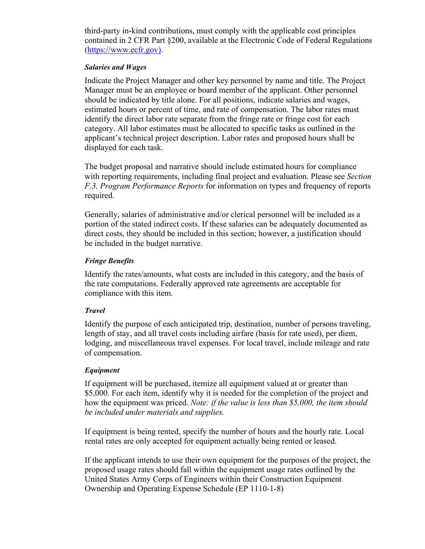third-party in-kind contributions, must comply with the applicable cost principles contained in 2 CFR Part §200, available at the Electronic Code of Federal Regulations [\(https://www.ecfr.gov\)](https://www.ecfr.gov/cgi-bin/text-idx?tpl=/ecfrbrowse/Title02/2cfr200_main_02.tpl).

#### *Salaries and Wages*

Indicate the Project Manager and other key personnel by name and title. The Project Manager must be an employee or board member of the applicant. Other personnel should be indicated by title alone. For all positions, indicate salaries and wages, estimated hours or percent of time, and rate of compensation. The labor rates must identify the direct labor rate separate from the fringe rate or fringe cost for each category. All labor estimates must be allocated to specific tasks as outlined in the applicant's technical project description. Labor rates and proposed hours shall be displayed for each task.

The budget proposal and narrative should include estimated hours for compliance with reporting requirements, including final project and evaluation. Please see *Section F.3. Program Performance Reports* for information on types and frequency of reports required.

Generally, salaries of administrative and/or clerical personnel will be included as a portion of the stated indirect costs. If these salaries can be adequately documented as direct costs, they should be included in this section; however, a justification should be included in the budget narrative.

#### *Fringe Benefits*

Identify the rates/amounts, what costs are included in this category, and the basis of the rate computations. Federally approved rate agreements are acceptable for compliance with this item.

#### *Travel*

Identify the purpose of each anticipated trip, destination, number of persons traveling, length of stay, and all travel costs including airfare (basis for rate used), per diem, lodging, and miscellaneous travel expenses. For local travel, include mileage and rate of compensation.

#### *Equipment*

If equipment will be purchased, itemize all equipment valued at or greater than \$5,000. For each item, identify why it is needed for the completion of the project and how the equipment was priced. *Note: if the value is less than \$5,000, the item should be included under materials and supplies.*

If equipment is being rented, specify the number of hours and the hourly rate. Local rental rates are only accepted for equipment actually being rented or leased.

If the applicant intends to use their own equipment for the purposes of the project, the proposed usage rates should fall within the equipment usage rates outlined by the United States Army Corps of Engineers within their Construction Equipment Ownership and Operating Expense Schedule (EP 1110-1-8)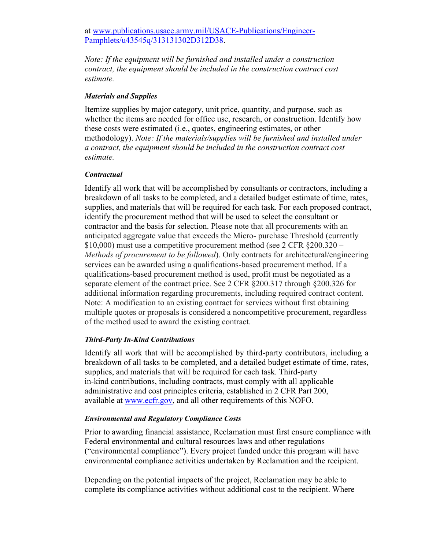at [www.publications.usace.army.mil/USACE-Publications/Engineer-](https://www.publications.usace.army.mil/USACE-Publications/Engineer-Pamphlets/u43545q/313131302D312D38)[Pamphlets/u43545q/313131302D312D38.](https://www.publications.usace.army.mil/USACE-Publications/Engineer-Pamphlets/u43545q/313131302D312D38)

*Note: If the equipment will be furnished and installed under a construction contract, the equipment should be included in the construction contract cost estimate.*

#### *Materials and Supplies*

Itemize supplies by major category, unit price, quantity, and purpose, such as whether the items are needed for office use, research, or construction. Identify how these costs were estimated (i.e., quotes, engineering estimates, or other methodology). *Note: If the materials/supplies will be furnished and installed under a contract, the equipment should be included in the construction contract cost estimate.*

#### *Contractual*

Identify all work that will be accomplished by consultants or contractors, including a breakdown of all tasks to be completed, and a detailed budget estimate of time, rates, supplies, and materials that will be required for each task. For each proposed contract, identify the procurement method that will be used to select the consultant or contractor and the basis for selection. Please note that all procurements with an anticipated aggregate value that exceeds the Micro- purchase Threshold (currently \$10,000) must use a competitive procurement method (see 2 CFR §200.320 – *Methods of procurement to be followed*). Only contracts for architectural/engineering services can be awarded using a qualifications-based procurement method. If a qualifications-based procurement method is used, profit must be negotiated as a separate element of the contract price. See 2 CFR §200.317 through §200.326 for additional information regarding procurements, including required contract content. Note: A modification to an existing contract for services without first obtaining multiple quotes or proposals is considered a noncompetitive procurement, regardless of the method used to award the existing contract.

#### *Third-Party In-Kind Contributions*

Identify all work that will be accomplished by third-party contributors, including a breakdown of all tasks to be completed, and a detailed budget estimate of time, rates, supplies, and materials that will be required for each task. Third-party in-kind contributions, including contracts, must comply with all applicable administrative and cost principles criteria, established in 2 CFR Part 200, available at [www.ecfr.gov,](https://www.ecfr.gov/cgi-bin/text-idx?tpl=/ecfrbrowse/Title02/2cfr200_main_02.tpl) and all other requirements of this NOFO.

#### *Environmental and Regulatory Compliance Costs*

Prior to awarding financial assistance, Reclamation must first ensure compliance with Federal environmental and cultural resources laws and other regulations ("environmental compliance"). Every project funded under this program will have environmental compliance activities undertaken by Reclamation and the recipient.

Depending on the potential impacts of the project, Reclamation may be able to complete its compliance activities without additional cost to the recipient. Where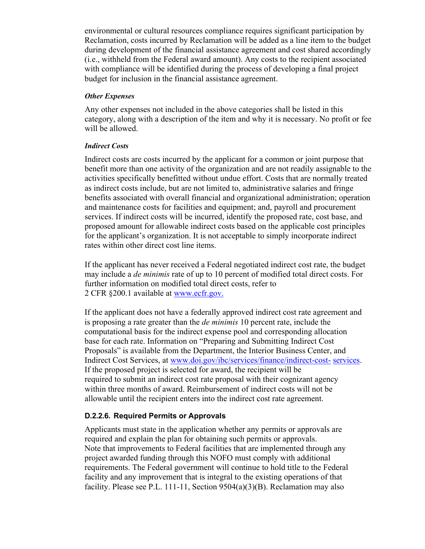environmental or cultural resources compliance requires significant participation by Reclamation, costs incurred by Reclamation will be added as a line item to the budget during development of the financial assistance agreement and cost shared accordingly (i.e., withheld from the Federal award amount). Any costs to the recipient associated with compliance will be identified during the process of developing a final project budget for inclusion in the financial assistance agreement.

#### *Other Expenses*

Any other expenses not included in the above categories shall be listed in this category, along with a description of the item and why it is necessary. No profit or fee will be allowed.

#### *Indirect Costs*

Indirect costs are costs incurred by the applicant for a common or joint purpose that benefit more than one activity of the organization and are not readily assignable to the activities specifically benefitted without undue effort. Costs that are normally treated as indirect costs include, but are not limited to, administrative salaries and fringe benefits associated with overall financial and organizational administration; operation and maintenance costs for facilities and equipment; and, payroll and procurement services. If indirect costs will be incurred, identify the proposed rate, cost base, and proposed amount for allowable indirect costs based on the applicable cost principles for the applicant's organization. It is not acceptable to simply incorporate indirect rates within other direct cost line items.

If the applicant has never received a Federal negotiated indirect cost rate, the budget may include a *de minimis* rate of up to 10 percent of modified total direct costs. For further information on modified total direct costs, refer to 2 CFR §200.1 available at [www.ecfr.gov.](https://www.ecfr.gov/cgi-bin/text-idx?tpl=/ecfrbrowse/Title02/2cfr200_main_02.tpl)

If the applicant does not have a federally approved indirect cost rate agreement and is proposing a rate greater than the *de minimis* 10 percent rate, include the computational basis for the indirect expense pool and corresponding allocation base for each rate. Information on "Preparing and Submitting Indirect Cost Proposals" is available from the Department, the Interior Business Center, and Indirect Cost Services, at [www.doi.gov/ibc/services/finance/indirect-cost-](http://www.doi.gov/ibc/services/finance/indirect-cost-services) [services.](http://www.doi.gov/ibc/services/finance/indirect-cost-services)  If the proposed project is selected for award, the recipient will be required to submit an indirect cost rate proposal with their cognizant agency within three months of award. Reimbursement of indirect costs will not be allowable until the recipient enters into the indirect cost rate agreement.

#### **D.2.2.6. Required Permits or Approvals**

Applicants must state in the application whether any permits or approvals are required and explain the plan for obtaining such permits or approvals. Note that improvements to Federal facilities that are implemented through any project awarded funding through this NOFO must comply with additional requirements. The Federal government will continue to hold title to the Federal facility and any improvement that is integral to the existing operations of that facility. Please see P.L. 111-11, Section 9504(a)(3)(B). Reclamation may also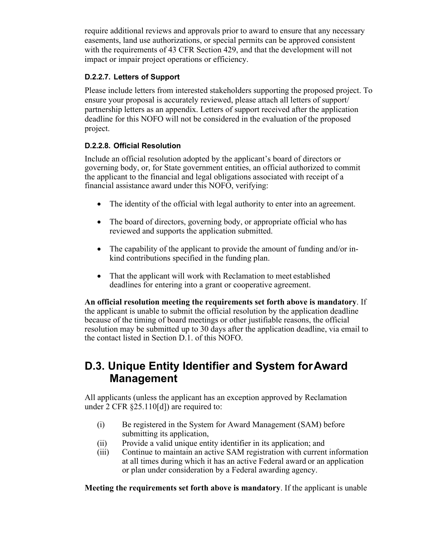require additional reviews and approvals prior to award to ensure that any necessary easements, land use authorizations, or special permits can be approved consistent with the requirements of 43 CFR Section 429, and that the development will not impact or impair project operations or efficiency.

#### **D.2.2.7. Letters of Support**

Please include letters from interested stakeholders supporting the proposed project. To ensure your proposal is accurately reviewed, please attach all letters of support/ partnership letters as an appendix. Letters of support received after the application deadline for this NOFO will not be considered in the evaluation of the proposed project.

#### **D.2.2.8. Official Resolution**

Include an official resolution adopted by the applicant's board of directors or governing body, or, for State government entities, an official authorized to commit the applicant to the financial and legal obligations associated with receipt of a financial assistance award under this NOFO, verifying:

- The identity of the official with legal authority to enter into an agreement.
- The board of directors, governing body, or appropriate official who has reviewed and supports the application submitted.
- The capability of the applicant to provide the amount of funding and/or inkind contributions specified in the funding plan.
- That the applicant will work with Reclamation to meet established deadlines for entering into a grant or cooperative agreement.

**An official resolution meeting the requirements set forth above is mandatory**. If the applicant is unable to submit the official resolution by the application deadline because of the timing of board meetings or other justifiable reasons, the official resolution may be submitted up to 30 days after the application deadline, via email to the contact listed in Section D.1. of this NOFO.

## <span id="page-24-0"></span>**D.3. Unique Entity Identifier and System forAward Management**

All applicants (unless the applicant has an exception approved by Reclamation under 2 CFR §25.110[d]) are required to:

- (i) Be registered in the System for Award Management (SAM) before submitting its application,
- (ii) Provide a valid unique entity identifier in its application; and
- (iii) Continue to maintain an active SAM registration with current information at all times during which it has an active Federal award or an application or plan under consideration by a Federal awarding agency.

**Meeting the requirements set forth above is mandatory**. If the applicant is unable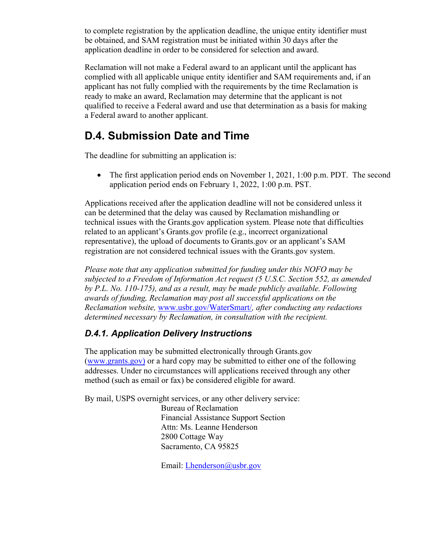to complete registration by the application deadline, the unique entity identifier must be obtained, and SAM registration must be initiated within 30 days after the application deadline in order to be considered for selection and award.

Reclamation will not make a Federal award to an applicant until the applicant has complied with all applicable unique entity identifier and SAM requirements and, if an applicant has not fully complied with the requirements by the time Reclamation is ready to make an award, Reclamation may determine that the applicant is not qualified to receive a Federal award and use that determination as a basis for making a Federal award to another applicant.

# <span id="page-25-0"></span>**D.4. Submission Date and Time**

The deadline for submitting an application is:

• The first application period ends on November 1, 2021, 1:00 p.m. PDT. The second application period ends on February 1, 2022, 1:00 p.m. PST.

Applications received after the application deadline will not be considered unless it can be determined that the delay was caused by Reclamation mishandling or technical issues with the Grants.gov application system. Please note that difficulties related to an applicant's Grants.gov profile (e.g., incorrect organizational representative), the upload of documents to Grants.gov or an applicant's SAM registration are not considered technical issues with the Grants.gov system.

*Please note that any application submitted for funding under this NOFO may be subjected to a Freedom of Information Act request (5 U.S.C. Section 552, as amended by P.L. No. 110-175), and as a result, may be made publicly available. Following awards of funding, Reclamation may post all successful applications on the Reclamation website,* [www.usbr.gov/WaterSmart/](https://www.usbr.gov/watersmart/)*, after conducting any redactions determined necessary by Reclamation, in consultation with the recipient.*

### *D.4.1. Application Delivery Instructions*

The application may be submitted electronically through Grants.gov [\(www.grants.gov\)](http://www.grants.gov/) or a hard copy may be submitted to either one of the following addresses. Under no circumstances will applications received through any other method (such as email or fax) be considered eligible for award.

By mail, USPS overnight services, or any other delivery service:

Bureau of Reclamation Financial Assistance Support Section Attn: Ms. Leanne Henderson 2800 Cottage Way Sacramento, CA 95825

Email: [Lhenderson@usbr.gov](mailto:Lhenderson@usbr.gov)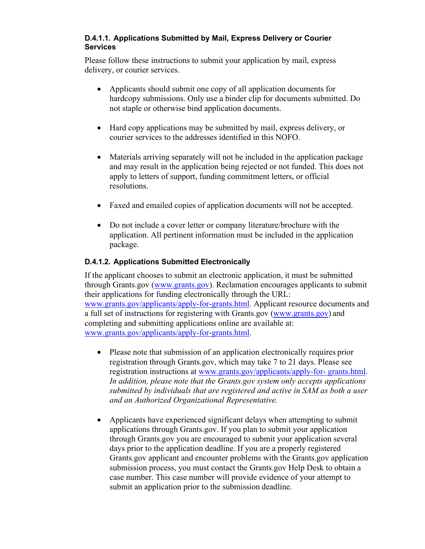#### **D.4.1.1. Applications Submitted by Mail, Express Delivery or Courier Services**

Please follow these instructions to submit your application by mail, express delivery, or courier services.

- Applicants should submit one copy of all application documents for hardcopy submissions. Only use a binder clip for documents submitted. Do not staple or otherwise bind application documents.
- Hard copy applications may be submitted by mail, express delivery, or courier services to the addresses identified in this NOFO.
- Materials arriving separately will not be included in the application package and may result in the application being rejected or not funded. This does not apply to letters of support, funding commitment letters, or official resolutions.
- Faxed and emailed copies of application documents will not be accepted.
- Do not include a cover letter or company literature/brochure with the application. All pertinent information must be included in the application package.

#### **D.4.1.2. Applications Submitted Electronically**

If the applicant chooses to submit an electronic application, it must be submitted through Grants.gov [\(www.grants.gov\)](http://www.grants.gov/). Reclamation encourages applicants to submit their applications for funding electronically through the URL: [www.grants.gov/applicants/apply-for-grants.html.](http://www.grants.gov/applicants/apply-for-grants.html) Applicant resource documents and a full set of instructions for registering with Grants.gov [\(www.grants.gov\)](http://www.grants.gov/) and completing and submitting applications online are available at: [www.grants.gov/applicants/apply-for-grants.html.](http://www.grants.gov/applicants/apply-for-grants.html)

- Please note that submission of an application electronically requires prior registration through Grants.gov, which may take 7 to 21 days. Please see registration instructions at [www.grants.gov/applicants/apply-for-](http://www.grants.gov/applicants/apply-for-grants.html) [grants.html.](http://www.grants.gov/applicants/apply-for-grants.html) *In addition, please note that the Grants.gov system only accepts applications submitted by individuals that are registered and active in SAM as both a user and an Authorized Organizational Representative.*
- Applicants have experienced significant delays when attempting to submit applications through Grants.gov. If you plan to submit your application through Grants.gov you are encouraged to submit your application several days prior to the application deadline. If you are a properly registered Grants.gov applicant and encounter problems with the Grants.gov application submission process, you must contact the Grants.gov Help Desk to obtain a case number. This case number will provide evidence of your attempt to submit an application prior to the submission deadline.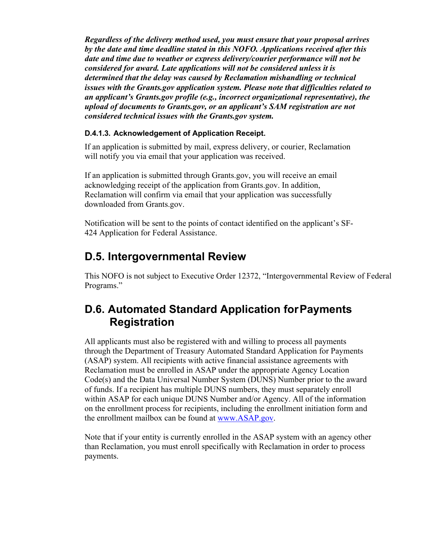*Regardless of the delivery method used, you must ensure that your proposal arrives by the date and time deadline stated in this NOFO. Applications received after this date and time due to weather or express delivery/courier performance will not be considered for award. Late applications will not be considered unless it is determined that the delay was caused by Reclamation mishandling or technical issues with the Grants.gov application system. Please note that difficulties related to an applicant's Grants.gov profile (e.g., incorrect organizational representative), the upload of documents to Grants.gov, or an applicant's SAM registration are not considered technical issues with the Grants.gov system.*

#### **D.4.1.3. Acknowledgement of Application Receipt.**

If an application is submitted by mail, express delivery, or courier, Reclamation will notify you via email that your application was received.

If an application is submitted through Grants.gov, you will receive an email acknowledging receipt of the application from Grants.gov. In addition, Reclamation will confirm via email that your application was successfully downloaded from Grants.gov.

Notification will be sent to the points of contact identified on the applicant's SF-424 Application for Federal Assistance.

## <span id="page-27-0"></span>**D.5. Intergovernmental Review**

This NOFO is not subject to Executive Order 12372, "Intergovernmental Review of Federal Programs."

# <span id="page-27-1"></span>**D.6. Automated Standard Application forPayments Registration**

All applicants must also be registered with and willing to process all payments through the Department of Treasury Automated Standard Application for Payments (ASAP) system. All recipients with active financial assistance agreements with Reclamation must be enrolled in ASAP under the appropriate Agency Location Code(s) and the Data Universal Number System (DUNS) Number prior to the award of funds. If a recipient has multiple DUNS numbers, they must separately enroll within ASAP for each unique DUNS Number and/or Agency. All of the information on the enrollment process for recipients, including the enrollment initiation form and the enrollment mailbox can be found at [www.ASAP.gov.](https://www.asap.gov/ASAPpublic/login.fcc?SMQUERYDATA=-SM-X1eVQTwHqHfSwJGyDR6hWEsP%2fktawntz8GgkIkhWSLu4QvzJ%2fQMZpPPtdKDBBu8gAft%2f57IGtlrV%2fVi49W89wnWjWtnToVy%2fLYvF0sQeyIJDxxepVSJQiYZQbn%2blsv5U%2f2EF9uEfVgfJg2Ue4bNmJFh1crRQLAUAgXO2nX84zY58WfImEKrZRUcNPkdsW5kFJBlBAt6Jop%2bSjz9Qvru5SuYAYu%2bQF9mOuPTAz4oEQxG%2bgFgQ8lqN7%2b87fOnMWOdf%2b00Y3bLp190ucFCDgemf72n5TwmppASLMyA9IZcCAmGkpRo4g5B10vRekolz%2bu5hO7k7pyz%2fZBZs5oWAkNOgqwtfm4Oz3XbSV1uqTFEGlisi0bFp2nn5MghSdWrLFlH4)

Note that if your entity is currently enrolled in the ASAP system with an agency other than Reclamation, you must enroll specifically with Reclamation in order to process payments.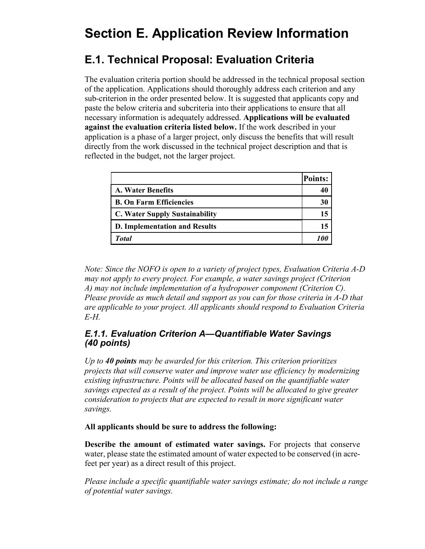# <span id="page-28-0"></span>**Section E. Application Review Information**

# <span id="page-28-1"></span>**E.1. Technical Proposal: Evaluation Criteria**

The evaluation criteria portion should be addressed in the technical proposal section of the application. Applications should thoroughly address each criterion and any sub-criterion in the order presented below. It is suggested that applicants copy and paste the below criteria and subcriteria into their applications to ensure that all necessary information is adequately addressed. **Applications will be evaluated against the evaluation criteria listed below.** If the work described in your application is a phase of a larger project, only discuss the benefits that will result directly from the work discussed in the technical project description and that is reflected in the budget, not the larger project.

|                                       | <b>Points:</b> |
|---------------------------------------|----------------|
| <b>A. Water Benefits</b>              |                |
| <b>B. On Farm Efficiencies</b>        | 30             |
| <b>C. Water Supply Sustainability</b> | 15             |
| <b>D. Implementation and Results</b>  |                |
| <b>Total</b>                          |                |

*Note: Since the NOFO is open to a variety of project types, Evaluation Criteria A-D may not apply to every project. For example, a water savings project (Criterion A) may not include implementation of a hydropower component (Criterion C). Please provide as much detail and support as you can for those criteria in A-D that are applicable to your project. All applicants should respond to Evaluation Criteria E-H.*

#### *E.1.1. Evaluation Criterion A—Quantifiable Water Savings (40 points)*

*Up to 40 points may be awarded for this criterion. This criterion prioritizes projects that will conserve water and improve water use efficiency by modernizing existing infrastructure. Points will be allocated based on the quantifiable water savings expected as a result of the project. Points will be allocated to give greater consideration to projects that are expected to result in more significant water savings.*

#### **All applicants should be sure to address the following:**

**Describe the amount of estimated water savings.** For projects that conserve water, please state the estimated amount of water expected to be conserved (in acrefeet per year) as a direct result of this project.

*Please include a specific quantifiable water savings estimate; do not include a range of potential water savings.*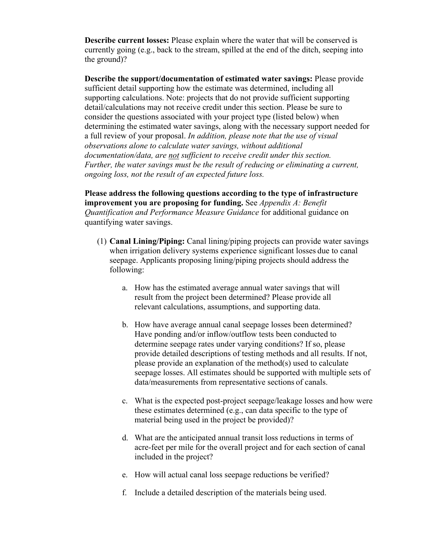**Describe current losses:** Please explain where the water that will be conserved is currently going (e.g., back to the stream, spilled at the end of the ditch, seeping into the ground)?

**Describe the support/documentation of estimated water savings:** Please provide sufficient detail supporting how the estimate was determined, including all supporting calculations. Note: projects that do not provide sufficient supporting detail/calculations may not receive credit under this section. Please be sure to consider the questions associated with your project type (listed below) when determining the estimated water savings, along with the necessary support needed for a full review of your proposal. *In addition, please note that the use of visual observations alone to calculate water savings, without additional documentation/data, are not sufficient to receive credit under this section. Further, the water savings must be the result of reducing or eliminating a current, ongoing loss, not the result of an expected future loss.*

**Please address the following questions according to the type of infrastructure improvement you are proposing for funding.** See *Appendix A: Benefit Quantification and Performance Measure Guidance* for additional guidance on quantifying water savings.

- (1) **Canal Lining/Piping:** Canal lining/piping projects can provide water savings when irrigation delivery systems experience significant losses due to canal seepage. Applicants proposing lining/piping projects should address the following:
	- a. How has the estimated average annual water savings that will result from the project been determined? Please provide all relevant calculations, assumptions, and supporting data.
	- b. How have average annual canal seepage losses been determined? Have ponding and/or inflow/outflow tests been conducted to determine seepage rates under varying conditions? If so, please provide detailed descriptions of testing methods and all results. If not, please provide an explanation of the method(s) used to calculate seepage losses. All estimates should be supported with multiple sets of data/measurements from representative sections of canals.
	- c. What is the expected post-project seepage/leakage losses and how were these estimates determined (e.g., can data specific to the type of material being used in the project be provided)?
	- d. What are the anticipated annual transit loss reductions in terms of acre-feet per mile for the overall project and for each section of canal included in the project?
	- e. How will actual canal loss seepage reductions be verified?
	- f. Include a detailed description of the materials being used.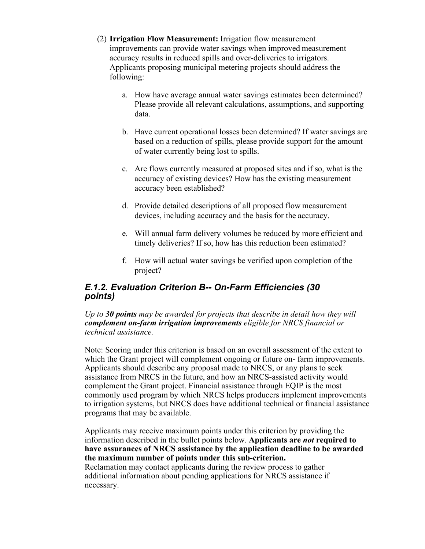- (2) **Irrigation Flow Measurement:** Irrigation flow measurement improvements can provide water savings when improved measurement accuracy results in reduced spills and over-deliveries to irrigators. Applicants proposing municipal metering projects should address the following:
	- a. How have average annual water savings estimates been determined? Please provide all relevant calculations, assumptions, and supporting data.
	- b. Have current operational losses been determined? If water savings are based on a reduction of spills, please provide support for the amount of water currently being lost to spills.
	- c. Are flows currently measured at proposed sites and if so, what is the accuracy of existing devices? How has the existing measurement accuracy been established?
	- d. Provide detailed descriptions of all proposed flow measurement devices, including accuracy and the basis for the accuracy.
	- e. Will annual farm delivery volumes be reduced by more efficient and timely deliveries? If so, how has this reduction been estimated?
	- f. How will actual water savings be verified upon completion of the project?

#### *E.1.2. Evaluation Criterion B-- On-Farm Efficiencies (30 points)*

*Up to 30 points may be awarded for projects that describe in detail how they will complement on-farm irrigation improvements eligible for NRCS financial or technical assistance.*

Note: Scoring under this criterion is based on an overall assessment of the extent to which the Grant project will complement ongoing or future on- farm improvements. Applicants should describe any proposal made to NRCS, or any plans to seek assistance from NRCS in the future, and how an NRCS-assisted activity would complement the Grant project. Financial assistance through EQIP is the most commonly used program by which NRCS helps producers implement improvements to irrigation systems, but NRCS does have additional technical or financial assistance programs that may be available.

Applicants may receive maximum points under this criterion by providing the information described in the bullet points below. **Applicants are** *not* **required to have assurances of NRCS assistance by the application deadline to be awarded the maximum number of points under this sub-criterion.**

Reclamation may contact applicants during the review process to gather additional information about pending applications for NRCS assistance if necessary.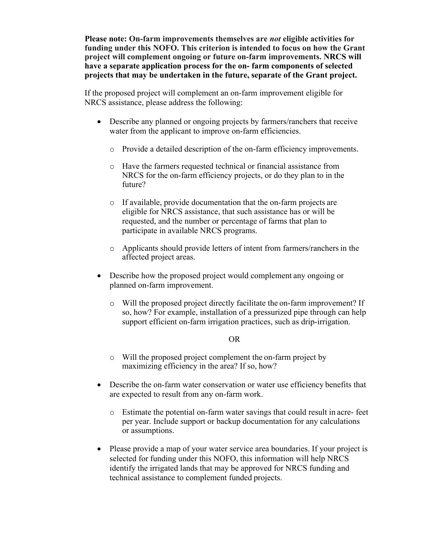**Please note: On-farm improvements themselves are** *not* **eligible activities for funding under this NOFO. This criterion is intended to focus on how the Grant project will complement ongoing or future on-farm improvements. NRCS will have a separate application process for the on- farm components of selected projects that may be undertaken in the future, separate of the Grant project.**

If the proposed project will complement an on-farm improvement eligible for NRCS assistance, please address the following:

- Describe any planned or ongoing projects by farmers/ranchers that receive water from the applicant to improve on-farm efficiencies.
	- o Provide a detailed description of the on-farm efficiency improvements.
	- o Have the farmers requested technical or financial assistance from NRCS for the on-farm efficiency projects, or do they plan to in the future?
	- o If available, provide documentation that the on-farm projects are eligible for NRCS assistance, that such assistance has or will be requested, and the number or percentage of farms that plan to participate in available NRCS programs.
	- o Applicants should provide letters of intent from farmers/ranchersin the affected project areas.
- Describe how the proposed project would complement any ongoing or planned on-farm improvement.
	- o Will the proposed project directly facilitate the on-farm improvement? If so, how? For example, installation of a pressurized pipe through can help support efficient on-farm irrigation practices, such as drip-irrigation.

#### OR

- o Will the proposed project complement the on-farm project by maximizing efficiency in the area? If so, how?
- Describe the on-farm water conservation or water use efficiency benefits that are expected to result from any on-farm work.
	- o Estimate the potential on-farm water savings that could result in acre- feet per year. Include support or backup documentation for any calculations or assumptions.
- Please provide a map of your water service area boundaries. If your project is selected for funding under this NOFO, this information will help NRCS identify the irrigated lands that may be approved for NRCS funding and technical assistance to complement funded projects.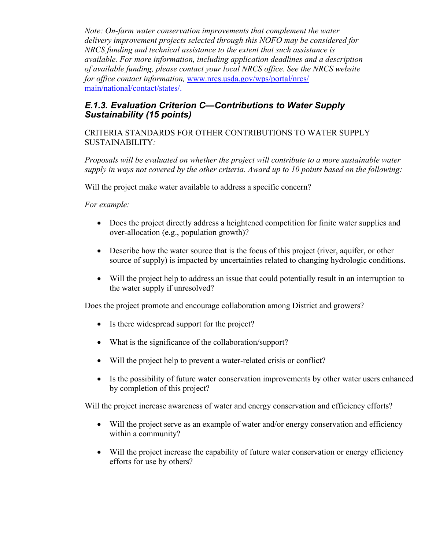*Note: On-farm water conservation improvements that complement the water delivery improvement projects selected through this NOFO may be considered for NRCS funding and technical assistance to the extent that such assistance is available. For more information, including application deadlines and a description of available funding, please contact your local NRCS office. See the NRCS website for office contact information,* [www.nrcs.usda.gov/wps/portal/nrcs/](http://www.nrcs.usda.gov/wps/portal/nrcs/main/national/contact/states/) [main/national/contact/states/.](http://www.nrcs.usda.gov/wps/portal/nrcs/main/national/contact/states/)

#### *E.1.3. Evaluation Criterion C—Contributions to Water Supply Sustainability (15 points)*

CRITERIA STANDARDS FOR OTHER CONTRIBUTIONS TO WATER SUPPLY SUSTAINABILITY*:*

*Proposals will be evaluated on whether the project will contribute to a more sustainable water supply in ways not covered by the other criteria. Award up to 10 points based on the following:*

Will the project make water available to address a specific concern?

*For example:* 

- Does the project directly address a heightened competition for finite water supplies and over-allocation (e.g., population growth)?
- Describe how the water source that is the focus of this project (river, aquifer, or other source of supply) is impacted by uncertainties related to changing hydrologic conditions.
- Will the project help to address an issue that could potentially result in an interruption to the water supply if unresolved?

Does the project promote and encourage collaboration among District and growers?

- Is there widespread support for the project?
- What is the significance of the collaboration/support?
- Will the project help to prevent a water-related crisis or conflict?
- Is the possibility of future water conservation improvements by other water users enhanced by completion of this project?

Will the project increase awareness of water and energy conservation and efficiency efforts?

- Will the project serve as an example of water and/or energy conservation and efficiency within a community?
- Will the project increase the capability of future water conservation or energy efficiency efforts for use by others?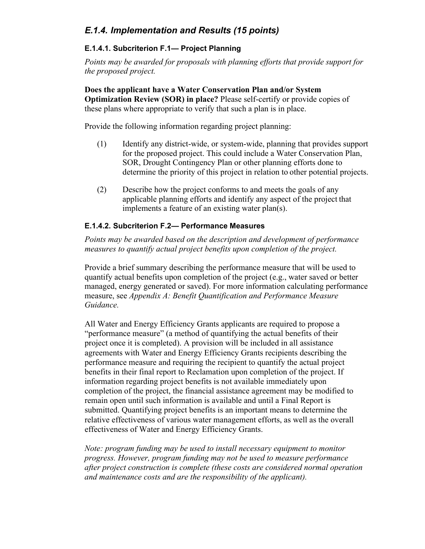### *E.1.4. Implementation and Results (15 points)*

#### **E.1.4.1. Subcriterion F.1— Project Planning**

*Points may be awarded for proposals with planning efforts that provide support for the proposed project.*

**Does the applicant have a Water Conservation Plan and/or System Optimization Review (SOR) in place?** Please self-certify or provide copies of these plans where appropriate to verify that such a plan is in place.

Provide the following information regarding project planning:

- (1) Identify any district-wide, or system-wide, planning that provides support for the proposed project. This could include a Water Conservation Plan, SOR, Drought Contingency Plan or other planning efforts done to determine the priority of this project in relation to other potential projects.
- (2) Describe how the project conforms to and meets the goals of any applicable planning efforts and identify any aspect of the project that implements a feature of an existing water plan(s).

#### **E.1.4.2. Subcriterion F.2— Performance Measures**

*Points may be awarded based on the description and development of performance measures to quantify actual project benefits upon completion of the project.*

Provide a brief summary describing the performance measure that will be used to quantify actual benefits upon completion of the project (e.g., water saved or better managed, energy generated or saved). For more information calculating performance measure, see *Appendix A: Benefit Quantification and Performance Measure Guidance.*

All Water and Energy Efficiency Grants applicants are required to propose a "performance measure" (a method of quantifying the actual benefits of their project once it is completed). A provision will be included in all assistance agreements with Water and Energy Efficiency Grants recipients describing the performance measure and requiring the recipient to quantify the actual project benefits in their final report to Reclamation upon completion of the project. If information regarding project benefits is not available immediately upon completion of the project, the financial assistance agreement may be modified to remain open until such information is available and until a Final Report is submitted. Quantifying project benefits is an important means to determine the relative effectiveness of various water management efforts, as well as the overall effectiveness of Water and Energy Efficiency Grants.

*Note: program funding may be used to install necessary equipment to monitor progress. However, program funding may not be used to measure performance after project construction is complete (these costs are considered normal operation and maintenance costs and are the responsibility of the applicant).*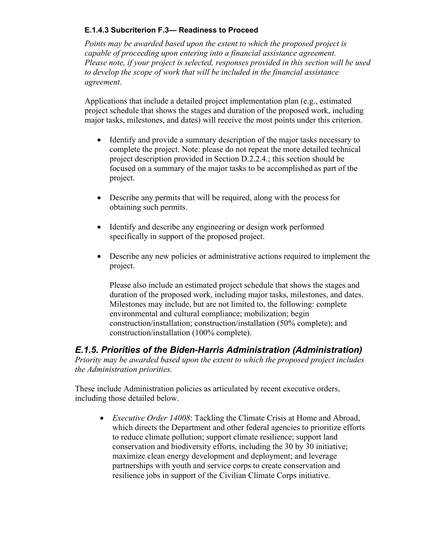#### **E.1.4.3 Subcriterion F.3— Readiness to Proceed**

*Points may be awarded based upon the extent to which the proposed project is capable of proceeding upon entering into a financial assistance agreement. Please note, if your project is selected, responses provided in this section will be used to develop the scope of work that will be included in the financial assistance agreement.*

Applications that include a detailed project implementation plan (e.g., estimated project schedule that shows the stages and duration of the proposed work, including major tasks, milestones, and dates) will receive the most points under this criterion.

- Identify and provide a summary description of the major tasks necessary to complete the project. Note: please do not repeat the more detailed technical project description provided in Section D.2.2.4.; this section should be focused on a summary of the major tasks to be accomplished as part of the project.
- Describe any permits that will be required, along with the process for obtaining such permits.
- Identify and describe any engineering or design work performed specifically in support of the proposed project.
- Describe any new policies or administrative actions required to implement the project.

Please also include an estimated project schedule that shows the stages and duration of the proposed work, including major tasks, milestones, and dates. Milestones may include, but are not limited to, the following: complete environmental and cultural compliance; mobilization; begin construction/installation; construction/installation (50% complete); and construction/installation (100% complete).

### *E.1.5. Priorities of the Biden-Harris Administration (Administration)*

*Priority may be awarded based upon the extent to which the proposed project includes the Administration priorities.*

These include Administration policies as articulated by recent executive orders, including those detailed below.

• *Executive Order 14008*: Tackling the Climate Crisis at Home and Abroad, which directs the Department and other federal agencies to prioritize efforts to reduce climate pollution; support climate resilience; support land conservation and biodiversity efforts, including the 30 by 30 initiative; maximize clean energy development and deployment; and leverage partnerships with youth and service corps to create conservation and resilience jobs in support of the Civilian Climate Corps initiative.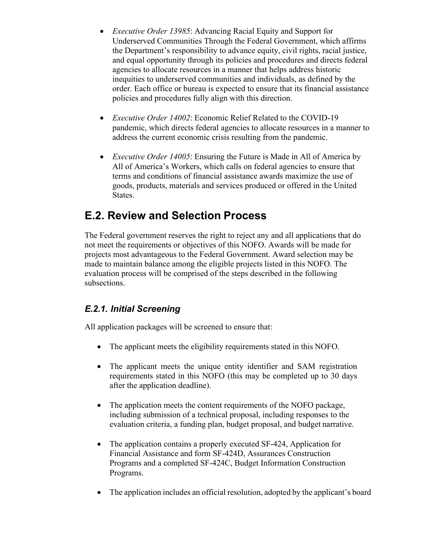- *Executive Order 13985*: Advancing Racial Equity and Support for Underserved Communities Through the Federal Government, which affirms the Department's responsibility to advance equity, civil rights, racial justice, and equal opportunity through its policies and procedures and directs federal agencies to allocate resources in a manner that helps address historic inequities to underserved communities and individuals, as defined by the order. Each office or bureau is expected to ensure that its financial assistance policies and procedures fully align with this direction.
- *Executive Order 14002*: Economic Relief Related to the COVID-19 pandemic, which directs federal agencies to allocate resources in a manner to address the current economic crisis resulting from the pandemic.
- *Executive Order 14005*: Ensuring the Future is Made in All of America by All of America's Workers, which calls on federal agencies to ensure that terms and conditions of financial assistance awards maximize the use of goods, products, materials and services produced or offered in the United States.

# <span id="page-35-0"></span>**E.2. Review and Selection Process**

The Federal government reserves the right to reject any and all applications that do not meet the requirements or objectives of this NOFO. Awards will be made for projects most advantageous to the Federal Government. Award selection may be made to maintain balance among the eligible projects listed in this NOFO. The evaluation process will be comprised of the steps described in the following subsections.

### *E.2.1. Initial Screening*

All application packages will be screened to ensure that:

- The applicant meets the eligibility requirements stated in this NOFO.
- The applicant meets the unique entity identifier and SAM registration requirements stated in this NOFO (this may be completed up to 30 days after the application deadline).
- The application meets the content requirements of the NOFO package, including submission of a technical proposal, including responses to the evaluation criteria, a funding plan, budget proposal, and budget narrative.
- The application contains a properly executed SF-424, Application for Financial Assistance and form SF-424D, Assurances Construction Programs and a completed SF-424C, Budget Information Construction Programs.
- The application includes an official resolution, adopted by the applicant's board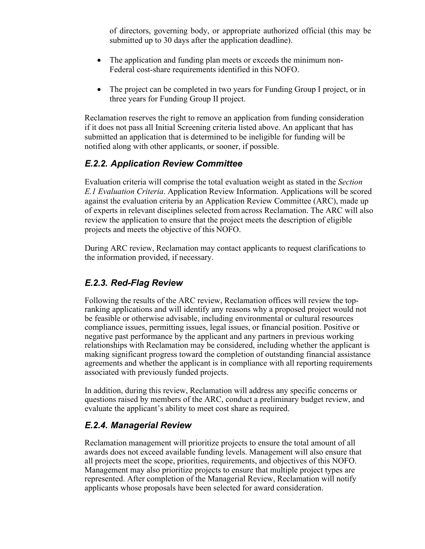of directors, governing body, or appropriate authorized official (this may be submitted up to 30 days after the application deadline).

- The application and funding plan meets or exceeds the minimum non-Federal cost-share requirements identified in this NOFO.
- The project can be completed in two years for Funding Group I project, or in three years for Funding Group II project.

Reclamation reserves the right to remove an application from funding consideration if it does not pass all Initial Screening criteria listed above. An applicant that has submitted an application that is determined to be ineligible for funding will be notified along with other applicants, or sooner, if possible.

#### *E.2.2. Application Review Committee*

Evaluation criteria will comprise the total evaluation weight as stated in the *Section E.1 Evaluation Criteria*. Application Review Information. Applications will be scored against the evaluation criteria by an Application Review Committee (ARC), made up of experts in relevant disciplines selected from across Reclamation. The ARC will also review the application to ensure that the project meets the description of eligible projects and meets the objective of this NOFO.

During ARC review, Reclamation may contact applicants to request clarifications to the information provided, if necessary.

### *E.2.3. Red-Flag Review*

Following the results of the ARC review, Reclamation offices will review the topranking applications and will identify any reasons why a proposed project would not be feasible or otherwise advisable, including environmental or cultural resources compliance issues, permitting issues, legal issues, or financial position. Positive or negative past performance by the applicant and any partners in previous working relationships with Reclamation may be considered, including whether the applicant is making significant progress toward the completion of outstanding financial assistance agreements and whether the applicant is in compliance with all reporting requirements associated with previously funded projects.

In addition, during this review, Reclamation will address any specific concerns or questions raised by members of the ARC, conduct a preliminary budget review, and evaluate the applicant's ability to meet cost share as required.

#### *E.2.4. Managerial Review*

Reclamation management will prioritize projects to ensure the total amount of all awards does not exceed available funding levels. Management will also ensure that all projects meet the scope, priorities, requirements, and objectives of this NOFO. Management may also prioritize projects to ensure that multiple project types are represented. After completion of the Managerial Review, Reclamation will notify applicants whose proposals have been selected for award consideration.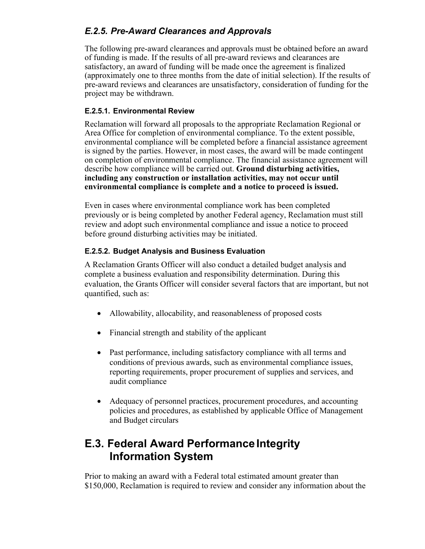### *E.2.5. Pre-Award Clearances and Approvals*

The following pre-award clearances and approvals must be obtained before an award of funding is made. If the results of all pre-award reviews and clearances are satisfactory, an award of funding will be made once the agreement is finalized (approximately one to three months from the date of initial selection). If the results of pre-award reviews and clearances are unsatisfactory, consideration of funding for the project may be withdrawn.

#### **E.2.5.1. Environmental Review**

Reclamation will forward all proposals to the appropriate Reclamation Regional or Area Office for completion of environmental compliance. To the extent possible, environmental compliance will be completed before a financial assistance agreement is signed by the parties. However, in most cases, the award will be made contingent on completion of environmental compliance. The financial assistance agreement will describe how compliance will be carried out. **Ground disturbing activities, including any construction or installation activities, may not occur until environmental compliance is complete and a notice to proceed is issued.**

Even in cases where environmental compliance work has been completed previously or is being completed by another Federal agency, Reclamation must still review and adopt such environmental compliance and issue a notice to proceed before ground disturbing activities may be initiated.

#### **E.2.5.2. Budget Analysis and Business Evaluation**

A Reclamation Grants Officer will also conduct a detailed budget analysis and complete a business evaluation and responsibility determination. During this evaluation, the Grants Officer will consider several factors that are important, but not quantified, such as:

- Allowability, allocability, and reasonableness of proposed costs
- Financial strength and stability of the applicant
- Past performance, including satisfactory compliance with all terms and conditions of previous awards, such as environmental compliance issues, reporting requirements, proper procurement of supplies and services, and audit compliance
- Adequacy of personnel practices, procurement procedures, and accounting policies and procedures, as established by applicable Office of Management and Budget circulars

## <span id="page-37-0"></span>**E.3. Federal Award Performance Integrity Information System**

Prior to making an award with a Federal total estimated amount greater than \$150,000, Reclamation is required to review and consider any information about the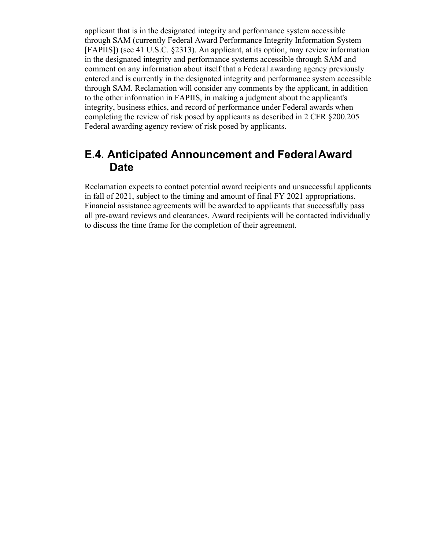applicant that is in the designated integrity and performance system accessible through SAM (currently Federal Award Performance Integrity Information System [FAPIIS]) (see 41 U.S.C. §2313). An applicant, at its option, may review information in the designated integrity and performance systems accessible through SAM and comment on any information about itself that a Federal awarding agency previously entered and is currently in the designated integrity and performance system accessible through SAM. Reclamation will consider any comments by the applicant, in addition to the other information in FAPIIS, in making a judgment about the applicant's integrity, business ethics, and record of performance under Federal awards when completing the review of risk posed by applicants as described in 2 CFR §200.205 Federal awarding agency review of risk posed by applicants.

### <span id="page-38-0"></span>**E.4. Anticipated Announcement and FederalAward Date**

Reclamation expects to contact potential award recipients and unsuccessful applicants in fall of 2021, subject to the timing and amount of final FY 2021 appropriations. Financial assistance agreements will be awarded to applicants that successfully pass all pre-award reviews and clearances. Award recipients will be contacted individually to discuss the time frame for the completion of their agreement.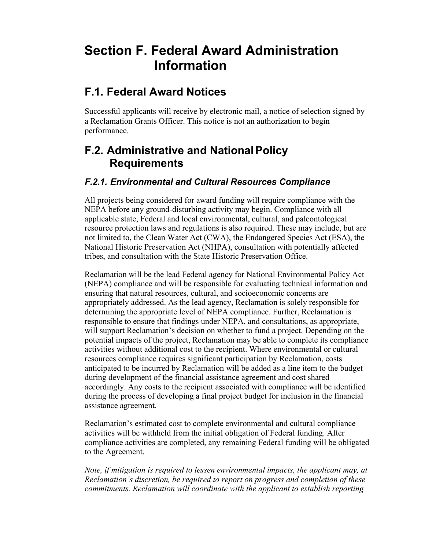# <span id="page-39-0"></span>**Section F. Federal Award Administration Information**

## <span id="page-39-1"></span>**F.1. Federal Award Notices**

Successful applicants will receive by electronic mail, a notice of selection signed by a Reclamation Grants Officer. This notice is not an authorization to begin performance.

## <span id="page-39-2"></span>**F.2. Administrative and NationalPolicy Requirements**

### *F.2.1. Environmental and Cultural Resources Compliance*

All projects being considered for award funding will require compliance with the NEPA before any ground-disturbing activity may begin. Compliance with all applicable state, Federal and local environmental, cultural, and paleontological resource protection laws and regulations is also required. These may include, but are not limited to, the Clean Water Act (CWA), the Endangered Species Act (ESA), the National Historic Preservation Act (NHPA), consultation with potentially affected tribes, and consultation with the State Historic Preservation Office.

Reclamation will be the lead Federal agency for National Environmental Policy Act (NEPA) compliance and will be responsible for evaluating technical information and ensuring that natural resources, cultural, and socioeconomic concerns are appropriately addressed. As the lead agency, Reclamation is solely responsible for determining the appropriate level of NEPA compliance. Further, Reclamation is responsible to ensure that findings under NEPA, and consultations, as appropriate, will support Reclamation's decision on whether to fund a project. Depending on the potential impacts of the project, Reclamation may be able to complete its compliance activities without additional cost to the recipient. Where environmental or cultural resources compliance requires significant participation by Reclamation, costs anticipated to be incurred by Reclamation will be added as a line item to the budget during development of the financial assistance agreement and cost shared accordingly. Any costs to the recipient associated with compliance will be identified during the process of developing a final project budget for inclusion in the financial assistance agreement.

Reclamation's estimated cost to complete environmental and cultural compliance activities will be withheld from the initial obligation of Federal funding. After compliance activities are completed, any remaining Federal funding will be obligated to the Agreement.

*Note, if mitigation is required to lessen environmental impacts, the applicant may, at Reclamation's discretion, be required to report on progress and completion of these commitments. Reclamation will coordinate with the applicant to establish reporting*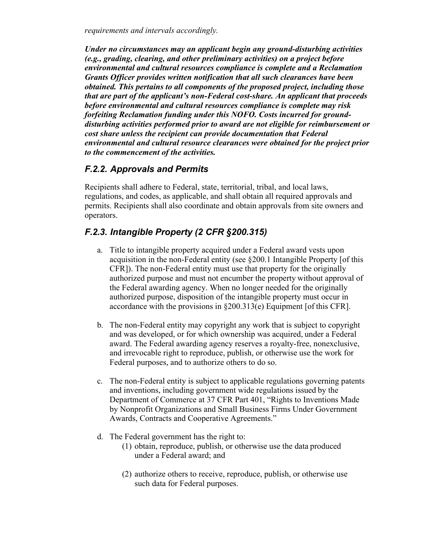*requirements and intervals accordingly.*

*Under no circumstances may an applicant begin any ground-disturbing activities (e.g., grading, clearing, and other preliminary activities) on a project before environmental and cultural resources compliance is complete and a Reclamation Grants Officer provides written notification that all such clearances have been obtained. This pertains to all components of the proposed project, including those that are part of the applicant's non-Federal cost-share. An applicant that proceeds before environmental and cultural resources compliance is complete may risk forfeiting Reclamation funding under this NOFO. Costs incurred for grounddisturbing activities performed prior to award are not eligible for reimbursement or cost share unless the recipient can provide documentation that Federal environmental and cultural resource clearances were obtained for the project prior to the commencement of the activities.*

### *F.2.2. Approvals and Permits*

Recipients shall adhere to Federal, state, territorial, tribal, and local laws, regulations, and codes, as applicable, and shall obtain all required approvals and permits. Recipients shall also coordinate and obtain approvals from site owners and operators.

### *F.2.3. Intangible Property (2 CFR §200.315)*

- a. Title to intangible property acquired under a Federal award vests upon acquisition in the non-Federal entity (see §200.1 Intangible Property [of this CFR]). The non-Federal entity must use that property for the originally authorized purpose and must not encumber the property without approval of the Federal awarding agency. When no longer needed for the originally authorized purpose, disposition of the intangible property must occur in accordance with the provisions in §200.313(e) Equipment [of this CFR].
- b. The non-Federal entity may copyright any work that is subject to copyright and was developed, or for which ownership was acquired, under a Federal award. The Federal awarding agency reserves a royalty-free, nonexclusive, and irrevocable right to reproduce, publish, or otherwise use the work for Federal purposes, and to authorize others to do so.
- c. The non-Federal entity is subject to applicable regulations governing patents and inventions, including government wide regulations issued by the Department of Commerce at 37 CFR Part 401, "Rights to Inventions Made by Nonprofit Organizations and Small Business Firms Under Government Awards, Contracts and Cooperative Agreements."
- d. The Federal government has the right to:
	- (1) obtain, reproduce, publish, or otherwise use the data produced under a Federal award; and
	- (2) authorize others to receive, reproduce, publish, or otherwise use such data for Federal purposes.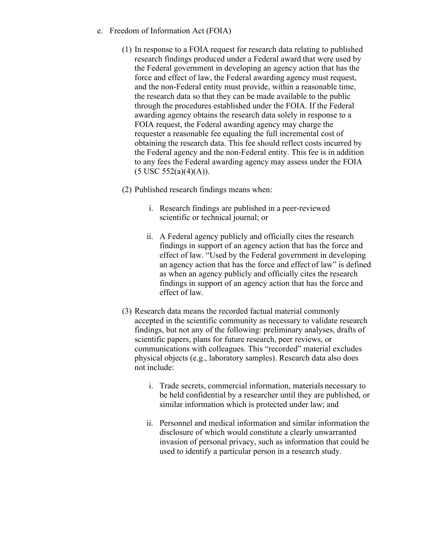- e. Freedom of Information Act (FOIA)
	- (1) In response to a FOIA request for research data relating to published research findings produced under a Federal award that were used by the Federal government in developing an agency action that has the force and effect of law, the Federal awarding agency must request, and the non-Federal entity must provide, within a reasonable time, the research data so that they can be made available to the public through the procedures established under the FOIA. If the Federal awarding agency obtains the research data solely in response to a FOIA request, the Federal awarding agency may charge the requester a reasonable fee equaling the full incremental cost of obtaining the research data. This fee should reflect costs incurred by the Federal agency and the non-Federal entity. This fee is in addition to any fees the Federal awarding agency may assess under the FOIA  $(5$  USC  $552(a)(4)(A)).$
	- (2) Published research findings means when:
		- i. Research findings are published in a peer-reviewed scientific or technical journal; or
		- ii. A Federal agency publicly and officially cites the research findings in support of an agency action that has the force and effect of law. "Used by the Federal government in developing an agency action that has the force and effect of law" is defined as when an agency publicly and officially cites the research findings in support of an agency action that has the force and effect of law.
	- (3) Research data means the recorded factual material commonly accepted in the scientific community as necessary to validate research findings, but not any of the following: preliminary analyses, drafts of scientific papers, plans for future research, peer reviews, or communications with colleagues. This "recorded" material excludes physical objects (e.g., laboratory samples). Research data also does not include:
		- i. Trade secrets, commercial information, materials necessary to be held confidential by a researcher until they are published, or similar information which is protected under law; and
		- ii. Personnel and medical information and similar information the disclosure of which would constitute a clearly unwarranted invasion of personal privacy, such as information that could be used to identify a particular person in a research study.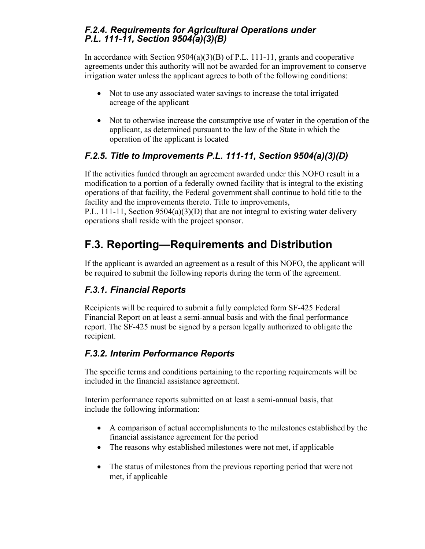### *F.2.4. Requirements for Agricultural Operations under P.L. 111-11, Section 9504(a)(3)(B)*

In accordance with Section 9504(a)(3)(B) of P.L. 111-11, grants and cooperative agreements under this authority will not be awarded for an improvement to conserve irrigation water unless the applicant agrees to both of the following conditions:

- Not to use any associated water savings to increase the total irrigated acreage of the applicant
- Not to otherwise increase the consumptive use of water in the operation of the applicant, as determined pursuant to the law of the State in which the operation of the applicant is located

### *F.2.5. Title to Improvements P.L. 111-11, Section 9504(a)(3)(D)*

If the activities funded through an agreement awarded under this NOFO result in a modification to a portion of a federally owned facility that is integral to the existing operations of that facility, the Federal government shall continue to hold title to the facility and the improvements thereto. Title to improvements,

P.L. 111-11, Section  $9504(a)(3)(D)$  that are not integral to existing water delivery operations shall reside with the project sponsor.

# <span id="page-42-0"></span>**F.3. Reporting—Requirements and Distribution**

If the applicant is awarded an agreement as a result of this NOFO, the applicant will be required to submit the following reports during the term of the agreement.

### *F.3.1. Financial Reports*

Recipients will be required to submit a fully completed form SF-425 Federal Financial Report on at least a semi-annual basis and with the final performance report. The SF-425 must be signed by a person legally authorized to obligate the recipient.

### *F.3.2. Interim Performance Reports*

The specific terms and conditions pertaining to the reporting requirements will be included in the financial assistance agreement.

Interim performance reports submitted on at least a semi-annual basis, that include the following information:

- A comparison of actual accomplishments to the milestones established by the financial assistance agreement for the period
- The reasons why established milestones were not met, if applicable
- The status of milestones from the previous reporting period that were not met, if applicable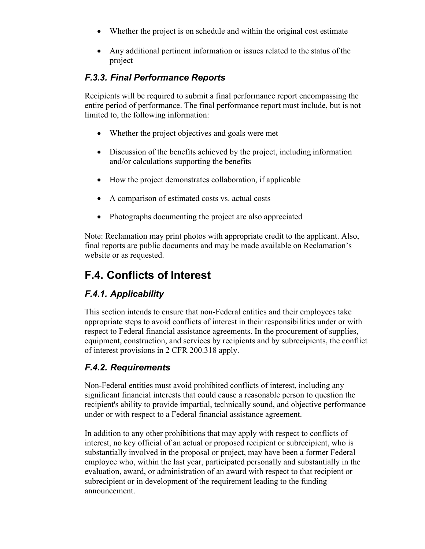- Whether the project is on schedule and within the original cost estimate
- Any additional pertinent information or issues related to the status of the project

### *F.3.3. Final Performance Reports*

Recipients will be required to submit a final performance report encompassing the entire period of performance. The final performance report must include, but is not limited to, the following information:

- Whether the project objectives and goals were met
- Discussion of the benefits achieved by the project, including information and/or calculations supporting the benefits
- How the project demonstrates collaboration, if applicable
- A comparison of estimated costs vs. actual costs
- Photographs documenting the project are also appreciated

Note: Reclamation may print photos with appropriate credit to the applicant. Also, final reports are public documents and may be made available on Reclamation's website or as requested.

# <span id="page-43-0"></span>**F.4. Conflicts of Interest**

### *F.4.1. Applicability*

This section intends to ensure that non-Federal entities and their employees take appropriate steps to avoid conflicts of interest in their responsibilities under or with respect to Federal financial assistance agreements. In the procurement of supplies, equipment, construction, and services by recipients and by subrecipients, the conflict of interest provisions in 2 CFR 200.318 apply.

### *F.4.2. Requirements*

Non-Federal entities must avoid prohibited conflicts of interest, including any significant financial interests that could cause a reasonable person to question the recipient's ability to provide impartial, technically sound, and objective performance under or with respect to a Federal financial assistance agreement.

In addition to any other prohibitions that may apply with respect to conflicts of interest, no key official of an actual or proposed recipient or subrecipient, who is substantially involved in the proposal or project, may have been a former Federal employee who, within the last year, participated personally and substantially in the evaluation, award, or administration of an award with respect to that recipient or subrecipient or in development of the requirement leading to the funding announcement.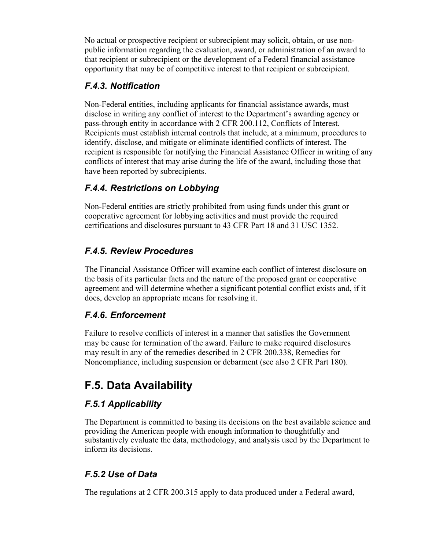No actual or prospective recipient or subrecipient may solicit, obtain, or use nonpublic information regarding the evaluation, award, or administration of an award to that recipient or subrecipient or the development of a Federal financial assistance opportunity that may be of competitive interest to that recipient or subrecipient.

### *F.4.3. Notification*

Non-Federal entities, including applicants for financial assistance awards, must disclose in writing any conflict of interest to the Department's awarding agency or pass-through entity in accordance with 2 CFR 200.112, Conflicts of Interest. Recipients must establish internal controls that include, at a minimum, procedures to identify, disclose, and mitigate or eliminate identified conflicts of interest. The recipient is responsible for notifying the Financial Assistance Officer in writing of any conflicts of interest that may arise during the life of the award, including those that have been reported by subrecipients.

### *F.4.4. Restrictions on Lobbying*

Non-Federal entities are strictly prohibited from using funds under this grant or cooperative agreement for lobbying activities and must provide the required certifications and disclosures pursuant to 43 CFR Part 18 and 31 USC 1352.

### *F.4.5. Review Procedures*

The Financial Assistance Officer will examine each conflict of interest disclosure on the basis of its particular facts and the nature of the proposed grant or cooperative agreement and will determine whether a significant potential conflict exists and, if it does, develop an appropriate means for resolving it.

### *F.4.6. Enforcement*

Failure to resolve conflicts of interest in a manner that satisfies the Government may be cause for termination of the award. Failure to make required disclosures may result in any of the remedies described in 2 CFR 200.338, Remedies for Noncompliance, including suspension or debarment (see also 2 CFR Part 180).

# <span id="page-44-0"></span>**F.5. Data Availability**

### *F.5.1 Applicability*

The Department is committed to basing its decisions on the best available science and providing the American people with enough information to thoughtfully and substantively evaluate the data, methodology, and analysis used by the Department to inform its decisions.

### *F.5.2 Use of Data*

The regulations at 2 CFR 200.315 apply to data produced under a Federal award,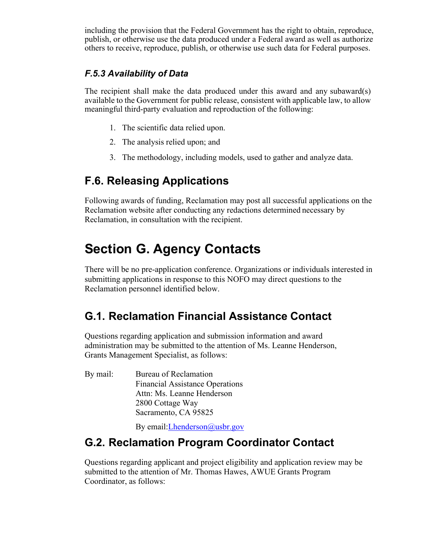including the provision that the Federal Government has the right to obtain, reproduce, publish, or otherwise use the data produced under a Federal award as well as authorize others to receive, reproduce, publish, or otherwise use such data for Federal purposes.

### *F.5.3 Availability of Data*

The recipient shall make the data produced under this award and any subaward(s) available to the Government for public release, consistent with applicable law, to allow meaningful third-party evaluation and reproduction of the following:

- 1. The scientific data relied upon.
- 2. The analysis relied upon; and
- 3. The methodology, including models, used to gather and analyze data.

# <span id="page-45-0"></span>**F.6. Releasing Applications**

Following awards of funding, Reclamation may post all successful applications on the Reclamation website after conducting any redactions determined necessary by Reclamation, in consultation with the recipient.

# <span id="page-45-1"></span>**Section G. Agency Contacts**

There will be no pre-application conference. Organizations or individuals interested in submitting applications in response to this NOFO may direct questions to the Reclamation personnel identified below.

# <span id="page-45-2"></span>**G.1. Reclamation Financial Assistance Contact**

Questions regarding application and submission information and award administration may be submitted to the attention of Ms. Leanne Henderson, Grants Management Specialist, as follows:

By mail: Bureau of Reclamation Financial Assistance Operations Attn: Ms. Leanne Henderson 2800 Cottage Way Sacramento, CA 95825

By email[:Lhenderson@usbr.gov](file://ibr2mprfs012.bor.doi.net/mp410/Water%20Conservation/Grant%20Programs/Ag%20Water%20Use%20Efficiency%20grants/2021/FOA/Lhenderson@usbr.gov)

# <span id="page-45-3"></span>**G.2. Reclamation Program Coordinator Contact**

Questions regarding applicant and project eligibility and application review may be submitted to the attention of Mr. Thomas Hawes, AWUE Grants Program Coordinator, as follows: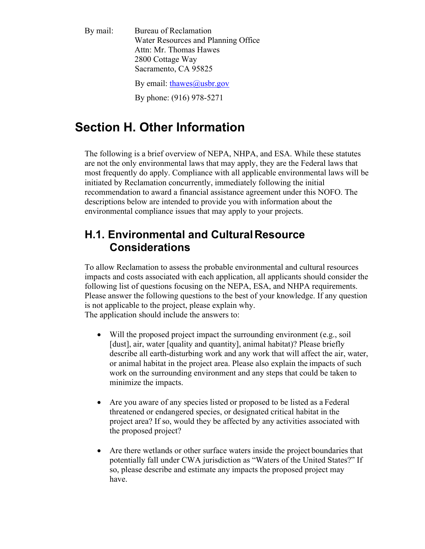By mail: Bureau of Reclamation Water Resources and Planning Office Attn: Mr. Thomas Hawes 2800 Cottage Way Sacramento, CA 95825

By email: [thawes@usbr.gov](mailto:thawes@usbr.gov)

By phone: (916) 978-5271

# **Section H. Other Information**

The following is a brief overview of NEPA, NHPA, and ESA. While these statutes are not the only environmental laws that may apply, they are the Federal laws that most frequently do apply. Compliance with all applicable environmental laws will be initiated by Reclamation concurrently, immediately following the initial recommendation to award a financial assistance agreement under this NOFO. The descriptions below are intended to provide you with information about the environmental compliance issues that may apply to your projects.

## <span id="page-46-0"></span>**H.1. Environmental and CulturalResource Considerations**

To allow Reclamation to assess the probable environmental and cultural resources impacts and costs associated with each application, all applicants should consider the following list of questions focusing on the NEPA, ESA, and NHPA requirements. Please answer the following questions to the best of your knowledge. If any question is not applicable to the project, please explain why. The application should include the answers to:

- Will the proposed project impact the surrounding environment (e.g., soil [dust], air, water [quality and quantity], animal habitat)? Please briefly describe all earth-disturbing work and any work that will affect the air, water, or animal habitat in the project area. Please also explain the impacts of such work on the surrounding environment and any steps that could be taken to minimize the impacts.
- Are you aware of any species listed or proposed to be listed as a Federal threatened or endangered species, or designated critical habitat in the project area? If so, would they be affected by any activities associated with the proposed project?
- Are there wetlands or other surface waters inside the project boundaries that potentially fall under CWA jurisdiction as "Waters of the United States?" If so, please describe and estimate any impacts the proposed project may have.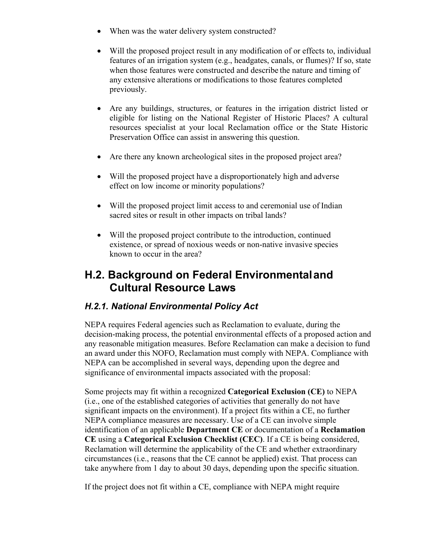- When was the water delivery system constructed?
- Will the proposed project result in any modification of or effects to, individual features of an irrigation system (e.g., headgates, canals, or flumes)? If so, state when those features were constructed and describe the nature and timing of any extensive alterations or modifications to those features completed previously.
- Are any buildings, structures, or features in the irrigation district listed or eligible for listing on the National Register of Historic Places? A cultural resources specialist at your local Reclamation office or the State Historic Preservation Office can assist in answering this question.
- Are there any known archeological sites in the proposed project area?
- Will the proposed project have a disproportionately high and adverse effect on low income or minority populations?
- Will the proposed project limit access to and ceremonial use of Indian sacred sites or result in other impacts on tribal lands?
- Will the proposed project contribute to the introduction, continued existence, or spread of noxious weeds or non-native invasive species known to occur in the area?

## <span id="page-47-0"></span>**H.2. Background on Federal Environmentaland Cultural Resource Laws**

### *H.2.1. National Environmental Policy Act*

NEPA requires Federal agencies such as Reclamation to evaluate, during the decision-making process, the potential environmental effects of a proposed action and any reasonable mitigation measures. Before Reclamation can make a decision to fund an award under this NOFO, Reclamation must comply with NEPA. Compliance with NEPA can be accomplished in several ways, depending upon the degree and significance of environmental impacts associated with the proposal:

Some projects may fit within a recognized **Categorical Exclusion (CE)** to NEPA (i.e., one of the established categories of activities that generally do not have significant impacts on the environment). If a project fits within a CE, no further NEPA compliance measures are necessary. Use of a CE can involve simple identification of an applicable **Department CE** or documentation of a **Reclamation CE** using a **Categorical Exclusion Checklist (CEC)**. If a CE is being considered, Reclamation will determine the applicability of the CE and whether extraordinary circumstances (i.e., reasons that the CE cannot be applied) exist. That process can take anywhere from 1 day to about 30 days, depending upon the specific situation.

If the project does not fit within a CE, compliance with NEPA might require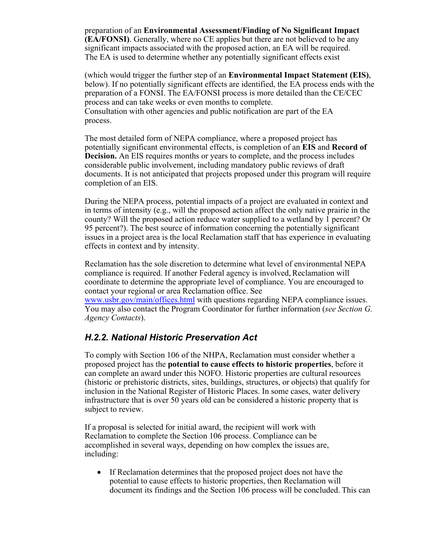preparation of an **Environmental Assessment/Finding of No Significant Impact (EA/FONSI)**. Generally, where no CE applies but there are not believed to be any significant impacts associated with the proposed action, an EA will be required. The EA is used to determine whether any potentially significant effects exist

(which would trigger the further step of an **Environmental Impact Statement (EIS)**, below). If no potentially significant effects are identified, the EA process ends with the preparation of a FONSI. The EA/FONSI process is more detailed than the CE/CEC process and can take weeks or even months to complete. Consultation with other agencies and public notification are part of the EA process.

The most detailed form of NEPA compliance, where a proposed project has potentially significant environmental effects, is completion of an **EIS** and **Record of Decision.** An EIS requires months or years to complete, and the process includes considerable public involvement, including mandatory public reviews of draft documents. It is not anticipated that projects proposed under this program will require completion of an EIS.

During the NEPA process, potential impacts of a project are evaluated in context and in terms of intensity (e.g., will the proposed action affect the only native prairie in the county? Will the proposed action reduce water supplied to a wetland by 1 percent? Or 95 percent?). The best source of information concerning the potentially significant issues in a project area is the local Reclamation staff that has experience in evaluating effects in context and by intensity.

Reclamation has the sole discretion to determine what level of environmental NEPA compliance is required. If another Federal agency is involved,Reclamation will coordinate to determine the appropriate level of compliance. You are encouraged to contact your regional or area Reclamation office. See [www.usbr.gov/main/offices.html](https://www.usbr.gov/main/offices.html) with questions regarding NEPA compliance issues. You may also contact the Program Coordinator for further information (*see Section G. Agency Contacts*).

#### *H.2.2. National Historic Preservation Act*

To comply with Section 106 of the NHPA, Reclamation must consider whether a proposed project has the **potential to cause effects to historic properties**, before it can complete an award under this NOFO. Historic properties are cultural resources (historic or prehistoric districts, sites, buildings, structures, or objects) that qualify for inclusion in the National Register of Historic Places. In some cases, water delivery infrastructure that is over 50 years old can be considered a historic property that is subject to review.

If a proposal is selected for initial award, the recipient will work with Reclamation to complete the Section 106 process. Compliance can be accomplished in several ways, depending on how complex the issues are, including:

• If Reclamation determines that the proposed project does not have the potential to cause effects to historic properties, then Reclamation will document its findings and the Section 106 process will be concluded. This can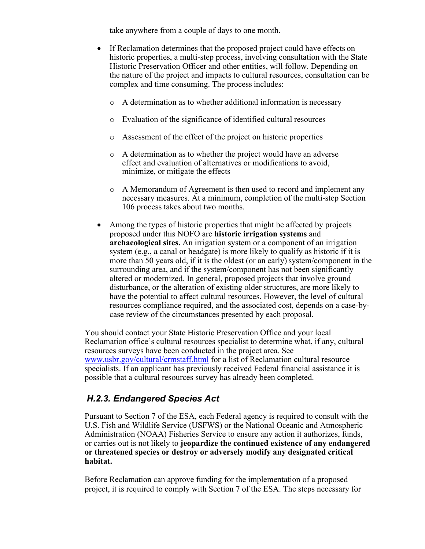take anywhere from a couple of days to one month.

- If Reclamation determines that the proposed project could have effects on historic properties, a multi-step process, involving consultation with the State Historic Preservation Officer and other entities, will follow. Depending on the nature of the project and impacts to cultural resources, consultation can be complex and time consuming. The process includes:
	- o A determination as to whether additional information is necessary
	- o Evaluation of the significance of identified cultural resources
	- o Assessment of the effect of the project on historic properties
	- o A determination as to whether the project would have an adverse effect and evaluation of alternatives or modifications to avoid, minimize, or mitigate the effects
	- o A Memorandum of Agreement is then used to record and implement any necessary measures. At a minimum, completion of the multi-step Section 106 process takes about two months.
- Among the types of historic properties that might be affected by projects proposed under this NOFO are **historic irrigation systems** and **archaeological sites.** An irrigation system or a component of an irrigation system (e.g., a canal or headgate) is more likely to qualify as historic if it is more than 50 years old, if it is the oldest (or an early) system/component in the surrounding area, and if the system/component has not been significantly altered or modernized. In general, proposed projects that involve ground disturbance, or the alteration of existing older structures, are more likely to have the potential to affect cultural resources. However, the level of cultural resources compliance required, and the associated cost, depends on a case-bycase review of the circumstances presented by each proposal.

You should contact your State Historic Preservation Office and your local Reclamation office's cultural resources specialist to determine what, if any, cultural resources surveys have been conducted in the project area. See [www.usbr.gov/cultural/crmstaff.html](https://www.usbr.gov/cultural/crmstaff.html) for a list of Reclamation cultural resource specialists. If an applicant has previously received Federal financial assistance it is possible that a cultural resources survey has already been completed.

### *H.2.3. Endangered Species Act*

Pursuant to Section 7 of the ESA, each Federal agency is required to consult with the U.S. Fish and Wildlife Service (USFWS) or the National Oceanic and Atmospheric Administration (NOAA) Fisheries Service to ensure any action it authorizes, funds, or carries out is not likely to **jeopardize the continued existence of any endangered or threatened species or destroy or adversely modify any designated critical habitat.**

Before Reclamation can approve funding for the implementation of a proposed project, it is required to comply with Section 7 of the ESA. The steps necessary for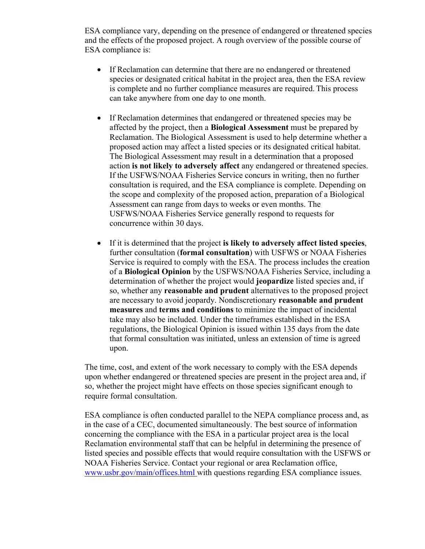ESA compliance vary, depending on the presence of endangered or threatened species and the effects of the proposed project. A rough overview of the possible course of ESA compliance is:

- If Reclamation can determine that there are no endangered or threatened species or designated critical habitat in the project area, then the ESA review is complete and no further compliance measures are required. This process can take anywhere from one day to one month.
- If Reclamation determines that endangered or threatened species may be affected by the project, then a **Biological Assessment** must be prepared by Reclamation. The Biological Assessment is used to help determine whether a proposed action may affect a listed species or its designated critical habitat. The Biological Assessment may result in a determination that a proposed action **is not likely to adversely affect** any endangered or threatened species. If the USFWS/NOAA Fisheries Service concurs in writing, then no further consultation is required, and the ESA compliance is complete. Depending on the scope and complexity of the proposed action, preparation of a Biological Assessment can range from days to weeks or even months. The USFWS/NOAA Fisheries Service generally respond to requests for concurrence within 30 days.
- If it is determined that the project **is likely to adversely affect listed species**, further consultation (**formal consultation**) with USFWS or NOAA Fisheries Service is required to comply with the ESA. The process includes the creation of a **Biological Opinion** by the USFWS/NOAA Fisheries Service, including a determination of whether the project would **jeopardize** listed species and, if so, whether any **reasonable and prudent** alternatives to the proposed project are necessary to avoid jeopardy. Nondiscretionary **reasonable and prudent measures** and **terms and conditions** to minimize the impact of incidental take may also be included. Under the timeframes established in the ESA regulations, the Biological Opinion is issued within 135 days from the date that formal consultation was initiated, unless an extension of time is agreed upon.

The time, cost, and extent of the work necessary to comply with the ESA depends upon whether endangered or threatened species are present in the project area and, if so, whether the project might have effects on those species significant enough to require formal consultation.

ESA compliance is often conducted parallel to the NEPA compliance process and, as in the case of a CEC, documented simultaneously. The best source of information concerning the compliance with the ESA in a particular project area is the local Reclamation environmental staff that can be helpful in determining the presence of listed species and possible effects that would require consultation with the USFWS or NOAA Fisheries Service. Contact your regional or area Reclamation office, [www.usbr.gov/main/offices.html w](https://www.usbr.gov/main/offices.html)ith questions regarding ESA compliance issues.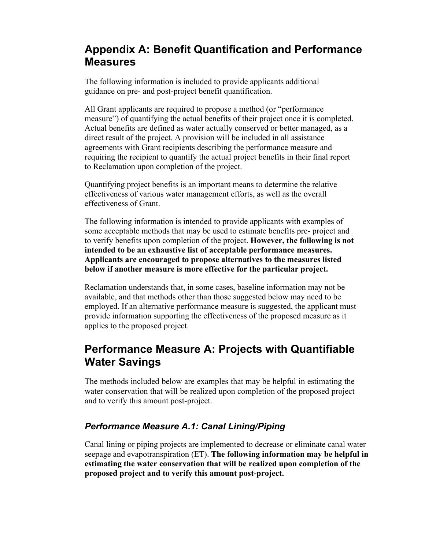## <span id="page-51-0"></span>**Appendix A: Benefit Quantification and Performance Measures**

The following information is included to provide applicants additional guidance on pre- and post-project benefit quantification.

All Grant applicants are required to propose a method (or "performance measure") of quantifying the actual benefits of their project once it is completed. Actual benefits are defined as water actually conserved or better managed, as a direct result of the project. A provision will be included in all assistance agreements with Grant recipients describing the performance measure and requiring the recipient to quantify the actual project benefits in their final report to Reclamation upon completion of the project.

Quantifying project benefits is an important means to determine the relative effectiveness of various water management efforts, as well as the overall effectiveness of Grant.

The following information is intended to provide applicants with examples of some acceptable methods that may be used to estimate benefits pre- project and to verify benefits upon completion of the project. **However, the following is not intended to be an exhaustive list of acceptable performance measures. Applicants are encouraged to propose alternatives to the measures listed below if another measure is more effective for the particular project.**

Reclamation understands that, in some cases, baseline information may not be available, and that methods other than those suggested below may need to be employed. If an alternative performance measure is suggested, the applicant must provide information supporting the effectiveness of the proposed measure as it applies to the proposed project.

## **Performance Measure A: Projects with Quantifiable Water Savings**

The methods included below are examples that may be helpful in estimating the water conservation that will be realized upon completion of the proposed project and to verify this amount post-project.

### *Performance Measure A.1: Canal Lining/Piping*

Canal lining or piping projects are implemented to decrease or eliminate canal water seepage and evapotranspiration (ET). **The following information may be helpful in estimating the water conservation that will be realized upon completion of the proposed project and to verify this amount post-project.**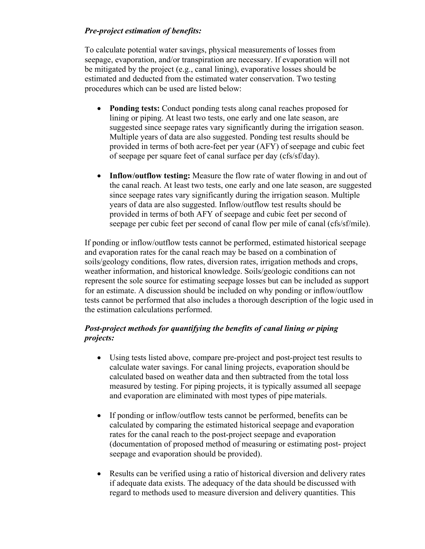#### *Pre-project estimation of benefits:*

To calculate potential water savings, physical measurements of losses from seepage, evaporation, and/or transpiration are necessary. If evaporation will not be mitigated by the project (e.g., canal lining), evaporative losses should be estimated and deducted from the estimated water conservation. Two testing procedures which can be used are listed below:

- **Ponding tests:** Conduct ponding tests along canal reaches proposed for lining or piping. At least two tests, one early and one late season, are suggested since seepage rates vary significantly during the irrigation season. Multiple years of data are also suggested. Ponding test results should be provided in terms of both acre-feet per year (AFY) of seepage and cubic feet of seepage per square feet of canal surface per day (cfs/sf/day).
- **Inflow/outflow testing:** Measure the flow rate of water flowing in and out of the canal reach. At least two tests, one early and one late season, are suggested since seepage rates vary significantly during the irrigation season. Multiple years of data are also suggested. Inflow/outflow test results should be provided in terms of both AFY of seepage and cubic feet per second of seepage per cubic feet per second of canal flow per mile of canal (cfs/sf/mile).

If ponding or inflow/outflow tests cannot be performed, estimated historical seepage and evaporation rates for the canal reach may be based on a combination of soils/geology conditions, flow rates, diversion rates, irrigation methods and crops, weather information, and historical knowledge. Soils/geologic conditions can not represent the sole source for estimating seepage losses but can be included as support for an estimate. A discussion should be included on why ponding or inflow/outflow tests cannot be performed that also includes a thorough description of the logic used in the estimation calculations performed.

#### *Post-project methods for quantifying the benefits of canal lining or piping projects:*

- Using tests listed above, compare pre-project and post-project test results to calculate water savings. For canal lining projects, evaporation should be calculated based on weather data and then subtracted from the total loss measured by testing. For piping projects, it is typically assumed all seepage and evaporation are eliminated with most types of pipe materials.
- If ponding or inflow/outflow tests cannot be performed, benefits can be calculated by comparing the estimated historical seepage and evaporation rates for the canal reach to the post-project seepage and evaporation (documentation of proposed method of measuring or estimating post- project seepage and evaporation should be provided).
- Results can be verified using a ratio of historical diversion and delivery rates if adequate data exists. The adequacy of the data should be discussed with regard to methods used to measure diversion and delivery quantities. This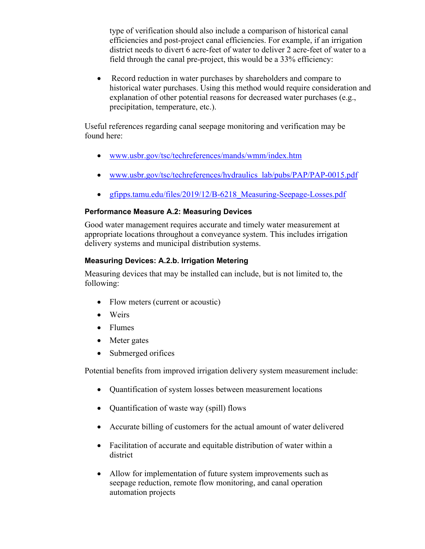type of verification should also include a comparison of historical canal efficiencies and post-project canal efficiencies. For example, if an irrigation district needs to divert 6 acre-feet of water to deliver 2 acre-feet of water to a field through the canal pre-project, this would be a 33% efficiency:

• Record reduction in water purchases by shareholders and compare to historical water purchases. Using this method would require consideration and explanation of other potential reasons for decreased water purchases (e.g., precipitation, temperature, etc.).

Useful references regarding canal seepage monitoring and verification may be found here:

- [www.usbr.gov/tsc/techreferences/mands/wmm/index.htm](https://www.usbr.gov/tsc/techreferences/mands/wmm/index.htm)
- [www.usbr.gov/tsc/techreferences/hydraulics\\_lab/pubs/PAP/PAP-0015.pdf](https://www.usbr.gov/tsc/techreferences/hydraulics_lab/pubs/PAP/PAP-0015.pdf)
- gfipps.tamu.edu/files/2019/12/B-6218 Measuring-Seepage-Losses.pdf

#### **Performance Measure A.2: Measuring Devices**

Good water management requires accurate and timely water measurement at appropriate locations throughout a conveyance system. This includes irrigation delivery systems and municipal distribution systems.

#### **Measuring Devices: A.2.b. Irrigation Metering**

Measuring devices that may be installed can include, but is not limited to, the following:

- Flow meters (current or acoustic)
- Weirs
- Flumes
- Meter gates
- Submerged orifices

Potential benefits from improved irrigation delivery system measurement include:

- Quantification of system losses between measurement locations
- Quantification of waste way (spill) flows
- Accurate billing of customers for the actual amount of water delivered
- Facilitation of accurate and equitable distribution of water within a district
- Allow for implementation of future system improvements such as seepage reduction, remote flow monitoring, and canal operation automation projects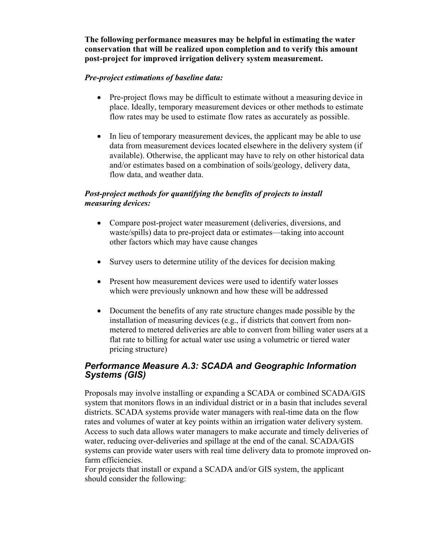**The following performance measures may be helpful in estimating the water conservation that will be realized upon completion and to verify this amount post-project for improved irrigation delivery system measurement.**

#### *Pre-project estimations of baseline data:*

- Pre-project flows may be difficult to estimate without a measuring device in place. Ideally, temporary measurement devices or other methods to estimate flow rates may be used to estimate flow rates as accurately as possible.
- In lieu of temporary measurement devices, the applicant may be able to use data from measurement devices located elsewhere in the delivery system (if available). Otherwise, the applicant may have to rely on other historical data and/or estimates based on a combination of soils/geology, delivery data, flow data, and weather data.

#### *Post-project methods for quantifying the benefits of projects to install measuring devices:*

- Compare post-project water measurement (deliveries, diversions, and waste/spills) data to pre-project data or estimates—taking into account other factors which may have cause changes
- Survey users to determine utility of the devices for decision making
- Present how measurement devices were used to identify water losses which were previously unknown and how these will be addressed
- Document the benefits of any rate structure changes made possible by the installation of measuring devices (e.g., if districts that convert from nonmetered to metered deliveries are able to convert from billing water users at a flat rate to billing for actual water use using a volumetric or tiered water pricing structure)

#### *Performance Measure A.3: SCADA and Geographic Information Systems (GIS)*

Proposals may involve installing or expanding a SCADA or combined SCADA/GIS system that monitors flows in an individual district or in a basin that includes several districts. SCADA systems provide water managers with real-time data on the flow rates and volumes of water at key points within an irrigation water delivery system. Access to such data allows water managers to make accurate and timely deliveries of water, reducing over-deliveries and spillage at the end of the canal. SCADA/GIS systems can provide water users with real time delivery data to promote improved onfarm efficiencies.

For projects that install or expand a SCADA and/or GIS system, the applicant should consider the following: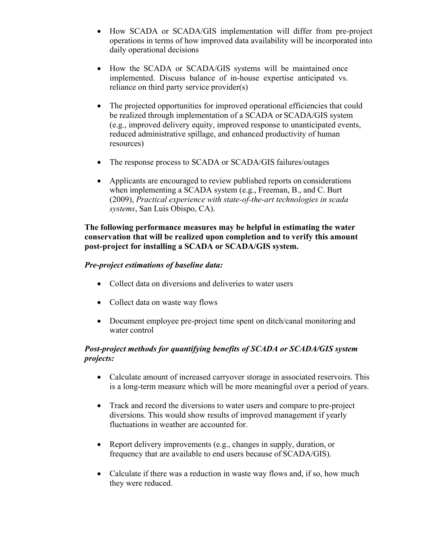- How SCADA or SCADA/GIS implementation will differ from pre-project operations in terms of how improved data availability will be incorporated into daily operational decisions
- How the SCADA or SCADA/GIS systems will be maintained once implemented. Discuss balance of in-house expertise anticipated vs. reliance on third party service provider(s)
- The projected opportunities for improved operational efficiencies that could be realized through implementation of a SCADA or SCADA/GIS system (e.g., improved delivery equity, improved response to unanticipated events, reduced administrative spillage, and enhanced productivity of human resources)
- The response process to SCADA or SCADA/GIS failures/outages
- Applicants are encouraged to review published reports on considerations when implementing a SCADA system (e.g., Freeman, B., and C. Burt (2009), *Practical experience with state-of-the-art technologies in scada systems*, San Luis Obispo, CA).

#### **The following performance measures may be helpful in estimating the water conservation that will be realized upon completion and to verify this amount post-project for installing a SCADA or SCADA/GIS system.**

#### *Pre-project estimations of baseline data:*

- Collect data on diversions and deliveries to water users
- Collect data on waste way flows
- Document employee pre-project time spent on ditch/canal monitoring and water control

#### *Post-project methods for quantifying benefits of SCADA or SCADA/GIS system projects:*

- Calculate amount of increased carryover storage in associated reservoirs. This is a long-term measure which will be more meaningful over a period of years.
- Track and record the diversions to water users and compare to pre-project diversions. This would show results of improved management if yearly fluctuations in weather are accounted for.
- Report delivery improvements (e.g., changes in supply, duration, or frequency that are available to end users because of SCADA/GIS).
- Calculate if there was a reduction in waste way flows and, if so, how much they were reduced.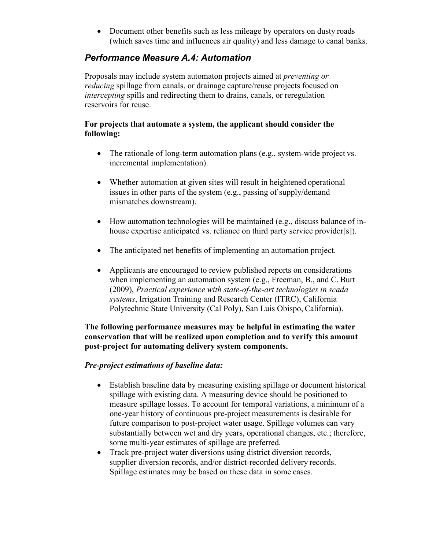• Document other benefits such as less mileage by operators on dusty roads (which saves time and influences air quality) and less damage to canal banks.

### *Performance Measure A.4: Automation*

Proposals may include system automaton projects aimed at *preventing or reducing* spillage from canals, or drainage capture/reuse projects focused on *intercepting* spills and redirecting them to drains, canals, or reregulation reservoirs for reuse.

#### **For projects that automate a system, the applicant should consider the following:**

- The rationale of long-term automation plans (e.g., system-wide project vs. incremental implementation).
- Whether automation at given sites will result in heightened operational issues in other parts of the system (e.g., passing of supply/demand mismatches downstream).
- How automation technologies will be maintained (e.g., discuss balance of inhouse expertise anticipated vs. reliance on third party service provider[s]).
- The anticipated net benefits of implementing an automation project.
- Applicants are encouraged to review published reports on considerations when implementing an automation system (e.g., Freeman, B., and C. Burt (2009), *Practical experience with state-of-the-art technologies in scada systems*, Irrigation Training and Research Center (ITRC), California Polytechnic State University (Cal Poly), San Luis Obispo, California).

#### **The following performance measures may be helpful in estimating the water conservation that will be realized upon completion and to verify this amount post-project for automating delivery system components.**

#### *Pre-project estimations of baseline data:*

- Establish baseline data by measuring existing spillage or document historical spillage with existing data. A measuring device should be positioned to measure spillage losses. To account for temporal variations, a minimum of a one-year history of continuous pre-project measurements is desirable for future comparison to post-project water usage. Spillage volumes can vary substantially between wet and dry years, operational changes, etc.; therefore, some multi-year estimates of spillage are preferred.
- Track pre-project water diversions using district diversion records, supplier diversion records, and/or district-recorded delivery records. Spillage estimates may be based on these data in some cases.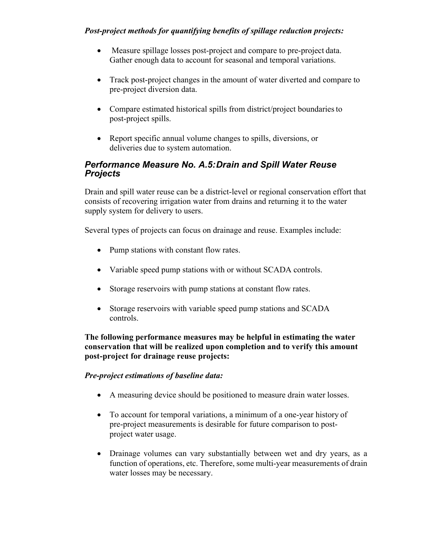#### *Post-project methods for quantifying benefits of spillage reduction projects:*

- Measure spillage losses post-project and compare to pre-project data. Gather enough data to account for seasonal and temporal variations.
- Track post-project changes in the amount of water diverted and compare to pre-project diversion data.
- Compare estimated historical spills from district/project boundaries to post-project spills.
- Report specific annual volume changes to spills, diversions, or deliveries due to system automation.

#### *Performance Measure No. A.5:Drain and Spill Water Reuse Projects*

Drain and spill water reuse can be a district-level or regional conservation effort that consists of recovering irrigation water from drains and returning it to the water supply system for delivery to users.

Several types of projects can focus on drainage and reuse. Examples include:

- Pump stations with constant flow rates.
- Variable speed pump stations with or without SCADA controls.
- Storage reservoirs with pump stations at constant flow rates.
- Storage reservoirs with variable speed pump stations and SCADA controls.

**The following performance measures may be helpful in estimating the water conservation that will be realized upon completion and to verify this amount post-project for drainage reuse projects:**

#### *Pre-project estimations of baseline data:*

- A measuring device should be positioned to measure drain water losses.
- To account for temporal variations, a minimum of a one-year history of pre-project measurements is desirable for future comparison to postproject water usage.
- Drainage volumes can vary substantially between wet and dry years, as a function of operations, etc. Therefore, some multi-year measurements of drain water losses may be necessary.